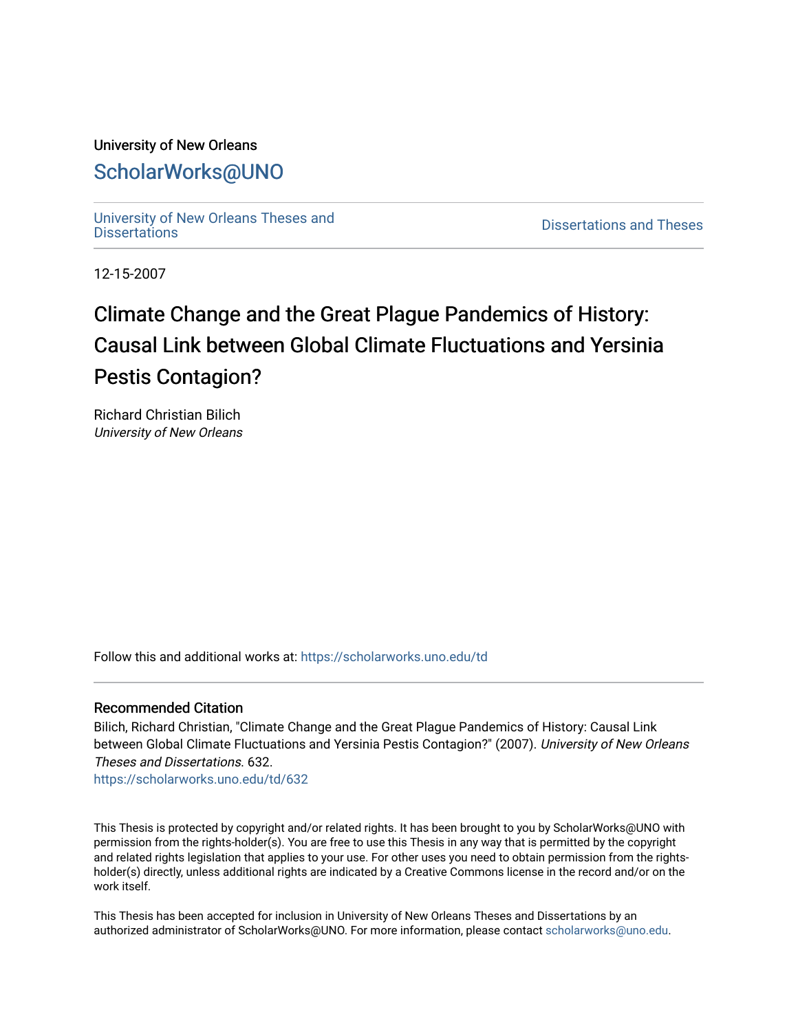# University of New Orleans [ScholarWorks@UNO](https://scholarworks.uno.edu/)

[University of New Orleans Theses and](https://scholarworks.uno.edu/td) 

[Dissertations](https://scholarworks.uno.edu/td) and Theses

12-15-2007

# Climate Change and the Great Plague Pandemics of History: Causal Link between Global Climate Fluctuations and Yersinia Pestis Contagion?

Richard Christian Bilich University of New Orleans

Follow this and additional works at: [https://scholarworks.uno.edu/td](https://scholarworks.uno.edu/td?utm_source=scholarworks.uno.edu%2Ftd%2F632&utm_medium=PDF&utm_campaign=PDFCoverPages)

## Recommended Citation

Bilich, Richard Christian, "Climate Change and the Great Plague Pandemics of History: Causal Link between Global Climate Fluctuations and Yersinia Pestis Contagion?" (2007). University of New Orleans Theses and Dissertations. 632.

[https://scholarworks.uno.edu/td/632](https://scholarworks.uno.edu/td/632?utm_source=scholarworks.uno.edu%2Ftd%2F632&utm_medium=PDF&utm_campaign=PDFCoverPages) 

This Thesis is protected by copyright and/or related rights. It has been brought to you by ScholarWorks@UNO with permission from the rights-holder(s). You are free to use this Thesis in any way that is permitted by the copyright and related rights legislation that applies to your use. For other uses you need to obtain permission from the rightsholder(s) directly, unless additional rights are indicated by a Creative Commons license in the record and/or on the work itself.

This Thesis has been accepted for inclusion in University of New Orleans Theses and Dissertations by an authorized administrator of ScholarWorks@UNO. For more information, please contact [scholarworks@uno.edu.](mailto:scholarworks@uno.edu)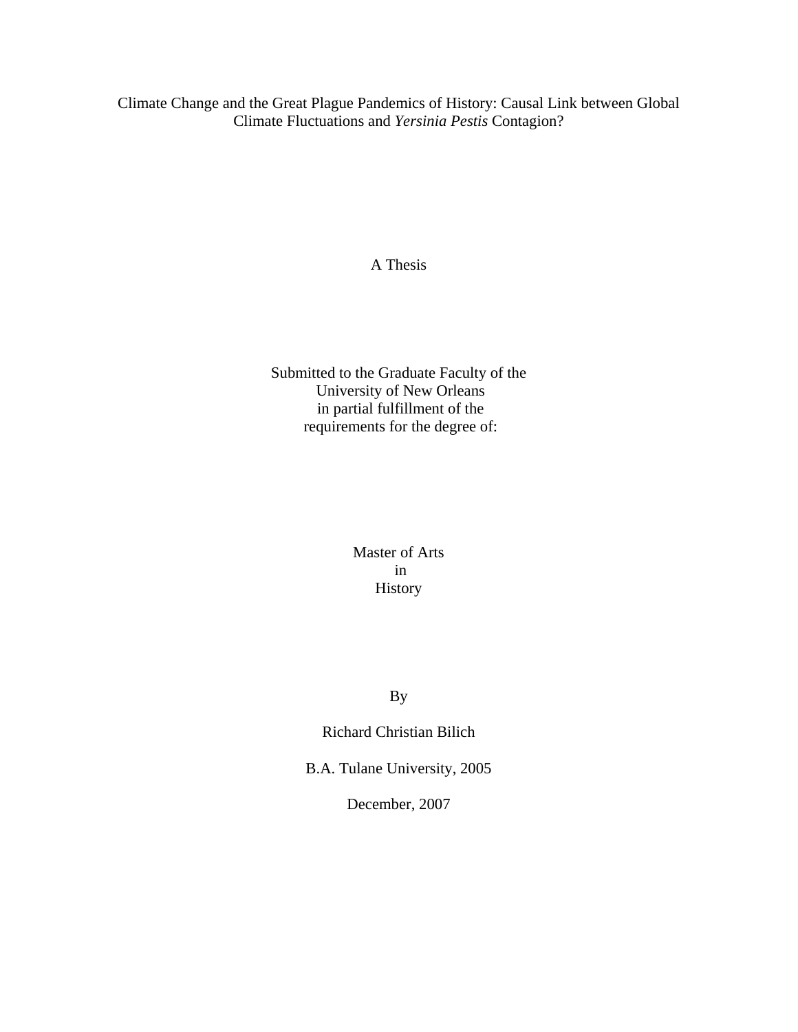Climate Change and the Great Plague Pandemics of History: Causal Link between Global Climate Fluctuations and *Yersinia Pestis* Contagion?

A Thesis

Submitted to the Graduate Faculty of the University of New Orleans in partial fulfillment of the requirements for the degree of:

> Master of Arts in History

> > By

Richard Christian Bilich

B.A. Tulane University, 2005

December, 2007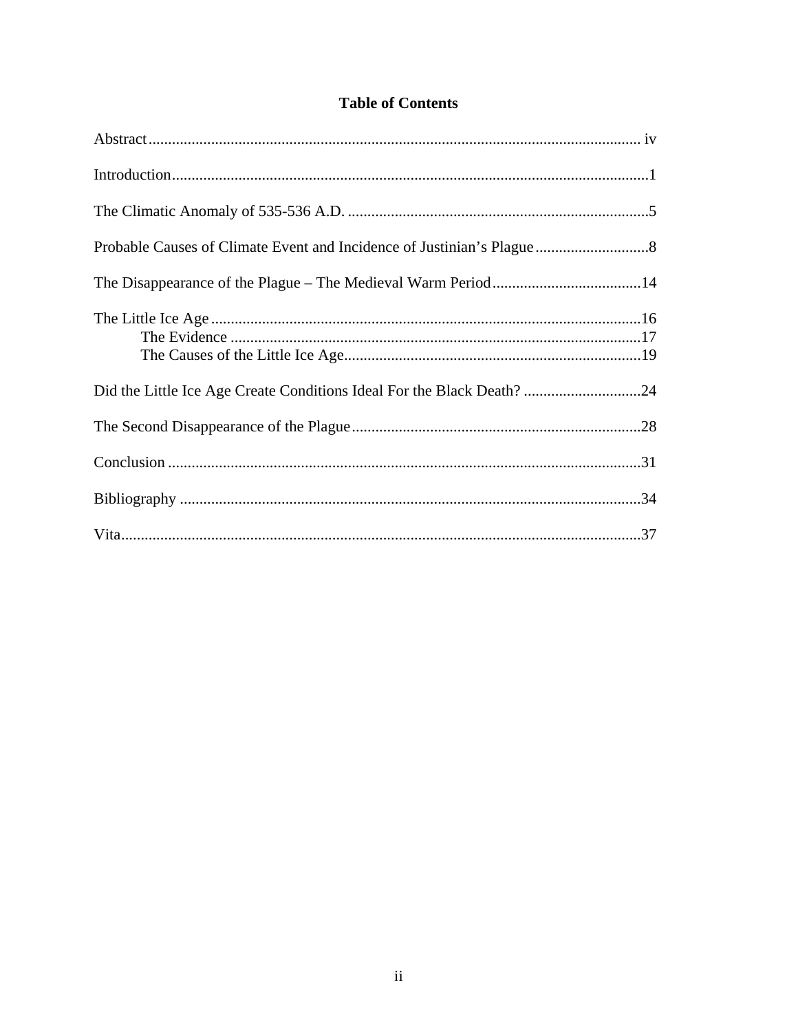# **Table of Contents**

| Did the Little Ice Age Create Conditions Ideal For the Black Death? 24 |  |
|------------------------------------------------------------------------|--|
|                                                                        |  |
|                                                                        |  |
|                                                                        |  |
|                                                                        |  |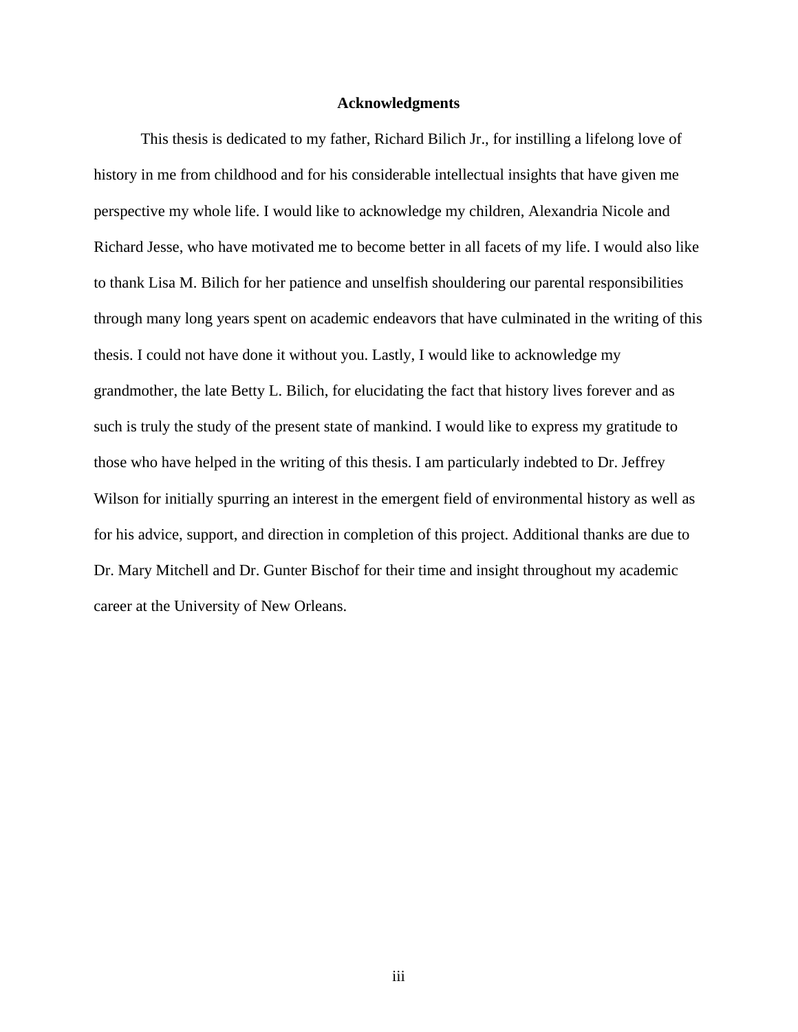#### **Acknowledgments**

 This thesis is dedicated to my father, Richard Bilich Jr., for instilling a lifelong love of history in me from childhood and for his considerable intellectual insights that have given me perspective my whole life. I would like to acknowledge my children, Alexandria Nicole and Richard Jesse, who have motivated me to become better in all facets of my life. I would also like to thank Lisa M. Bilich for her patience and unselfish shouldering our parental responsibilities through many long years spent on academic endeavors that have culminated in the writing of this thesis. I could not have done it without you. Lastly, I would like to acknowledge my grandmother, the late Betty L. Bilich, for elucidating the fact that history lives forever and as such is truly the study of the present state of mankind. I would like to express my gratitude to those who have helped in the writing of this thesis. I am particularly indebted to Dr. Jeffrey Wilson for initially spurring an interest in the emergent field of environmental history as well as for his advice, support, and direction in completion of this project. Additional thanks are due to Dr. Mary Mitchell and Dr. Gunter Bischof for their time and insight throughout my academic career at the University of New Orleans.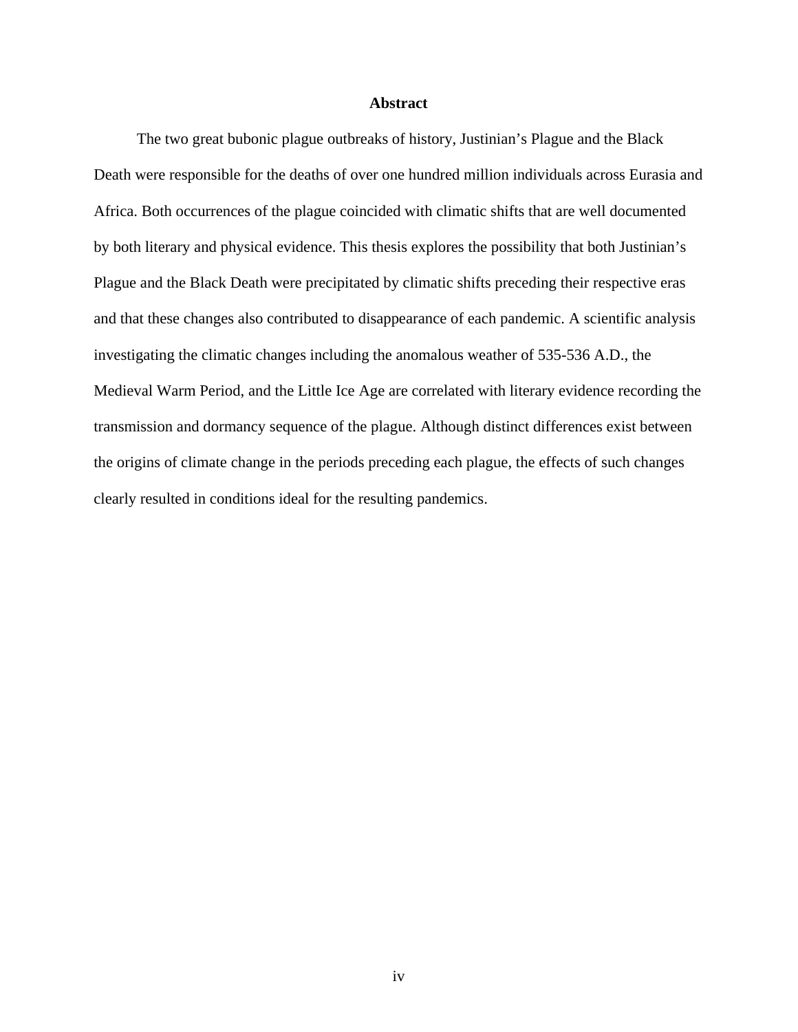#### **Abstract**

 The two great bubonic plague outbreaks of history, Justinian's Plague and the Black Death were responsible for the deaths of over one hundred million individuals across Eurasia and Africa. Both occurrences of the plague coincided with climatic shifts that are well documented by both literary and physical evidence. This thesis explores the possibility that both Justinian's Plague and the Black Death were precipitated by climatic shifts preceding their respective eras and that these changes also contributed to disappearance of each pandemic. A scientific analysis investigating the climatic changes including the anomalous weather of 535-536 A.D., the Medieval Warm Period, and the Little Ice Age are correlated with literary evidence recording the transmission and dormancy sequence of the plague. Although distinct differences exist between the origins of climate change in the periods preceding each plague, the effects of such changes clearly resulted in conditions ideal for the resulting pandemics.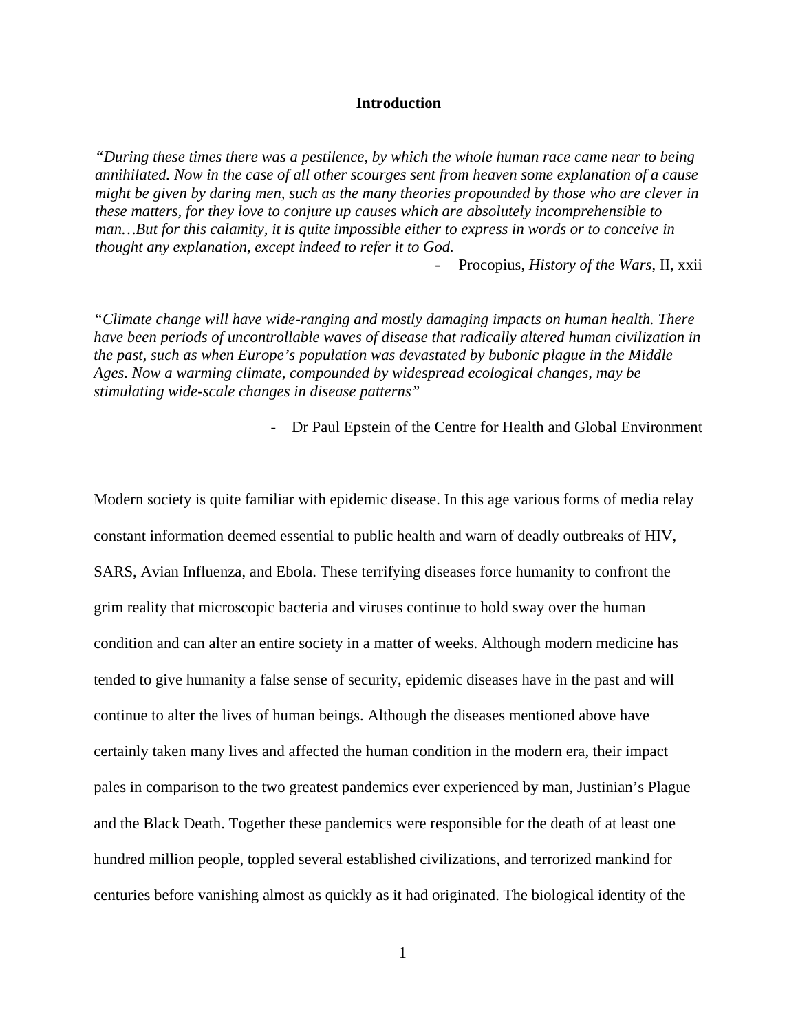#### **Introduction**

*"During these times there was a pestilence, by which the whole human race came near to being annihilated. Now in the case of all other scourges sent from heaven some explanation of a cause might be given by daring men, such as the many theories propounded by those who are clever in these matters, for they love to conjure up causes which are absolutely incomprehensible to man…But for this calamity, it is quite impossible either to express in words or to conceive in thought any explanation, except indeed to refer it to God.* 

- Procopius, *History of the Wars*, II, xxii

*"Climate change will have wide-ranging and mostly damaging impacts on human health. There have been periods of uncontrollable waves of disease that radically altered human civilization in the past, such as when Europe's population was devastated by bubonic plague in the Middle Ages. Now a warming climate, compounded by widespread ecological changes, may be stimulating wide-scale changes in disease patterns"* 

- Dr Paul Epstein of the Centre for Health and Global Environment

Modern society is quite familiar with epidemic disease. In this age various forms of media relay constant information deemed essential to public health and warn of deadly outbreaks of HIV, SARS, Avian Influenza, and Ebola. These terrifying diseases force humanity to confront the grim reality that microscopic bacteria and viruses continue to hold sway over the human condition and can alter an entire society in a matter of weeks. Although modern medicine has tended to give humanity a false sense of security, epidemic diseases have in the past and will continue to alter the lives of human beings. Although the diseases mentioned above have certainly taken many lives and affected the human condition in the modern era, their impact pales in comparison to the two greatest pandemics ever experienced by man, Justinian's Plague and the Black Death. Together these pandemics were responsible for the death of at least one hundred million people, toppled several established civilizations, and terrorized mankind for centuries before vanishing almost as quickly as it had originated. The biological identity of the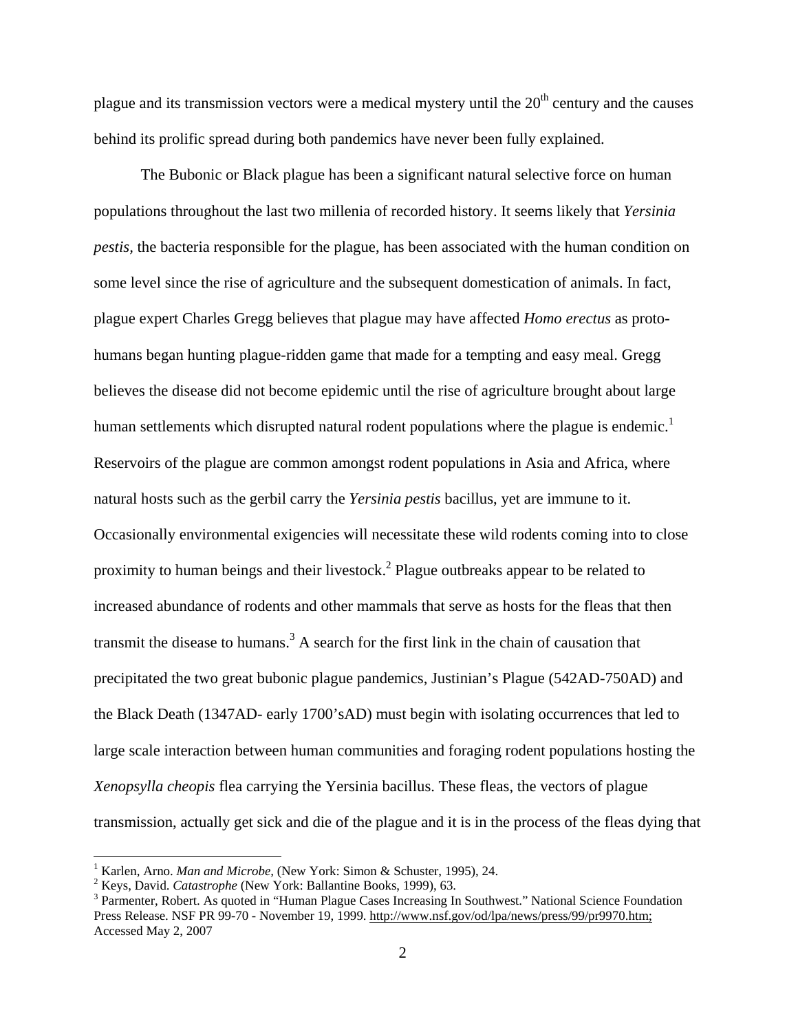plague and its transmission vectors were a medical mystery until the  $20<sup>th</sup>$  century and the causes behind its prolific spread during both pandemics have never been fully explained.

The Bubonic or Black plague has been a significant natural selective force on human populations throughout the last two millenia of recorded history. It seems likely that *Yersinia pestis,* the bacteria responsible for the plague, has been associated with the human condition on some level since the rise of agriculture and the subsequent domestication of animals. In fact, plague expert Charles Gregg believes that plague may have affected *Homo erectus* as protohumans began hunting plague-ridden game that made for a tempting and easy meal. Gregg believes the disease did not become epidemic until the rise of agriculture brought about large human settlements which disrupted natural rodent populations where the plague is endemic.<sup>1</sup> Reservoirs of the plague are common amongst rodent populations in Asia and Africa, where natural hosts such as the gerbil carry the *Yersinia pestis* bacillus, yet are immune to it. Occasionally environmental exigencies will necessitate these wild rodents coming into to close proximity to human beings and their livestock.<sup>2</sup> Plague outbreaks appear to be related to increased abundance of rodents and other mammals that serve as hosts for the fleas that then transmit the disease to humans.<sup>3</sup> A search for the first link in the chain of causation that precipitated the two great bubonic plague pandemics, Justinian's Plague (542AD-750AD) and the Black Death (1347AD- early 1700'sAD) must begin with isolating occurrences that led to large scale interaction between human communities and foraging rodent populations hosting the *Xenopsylla cheopis* flea carrying the Yersinia bacillus. These fleas, the vectors of plague transmission, actually get sick and die of the plague and it is in the process of the fleas dying that

<sup>&</sup>lt;sup>1</sup> Karlen, Arno. *Man and Microbe,* (New York: Simon & Schuster, 1995), 24.

<sup>&</sup>lt;sup>2</sup> Keys, David. *Catastrophe* (New York: Ballantine Books, 1999), 63.

<sup>&</sup>lt;sup>3</sup> Parmenter, Robert. As quoted in "Human Plague Cases Increasing In Southwest." National Science Foundation Press Release. NSF PR 99-70 - November 19, 1999. http://www.nsf.gov/od/lpa/news/press/99/pr9970.htm; Accessed May 2, 2007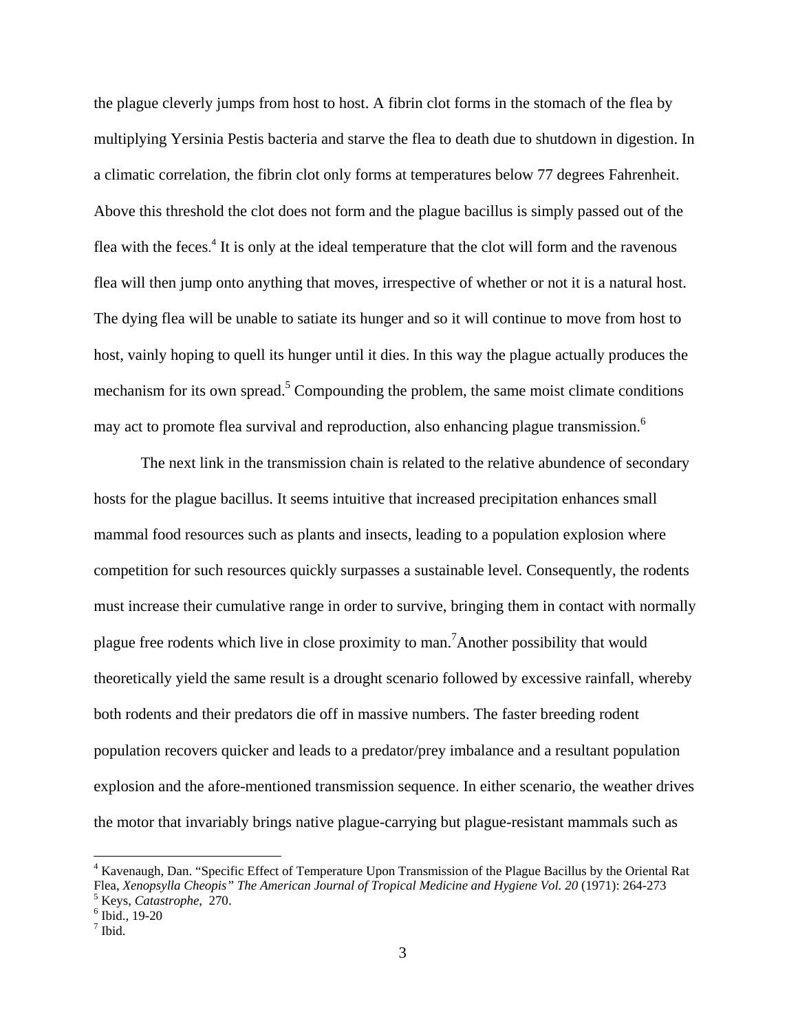the plague cleverly jumps from host to host. A fibrin clot forms in the stomach of the flea by multiplying Yersinia Pestis bacteria and starve the flea to death due to shutdown in digestion. In a climatic correlation, the fibrin clot only forms at temperatures below 77 degrees Fahrenheit. Above this threshold the clot does not form and the plague bacillus is simply passed out of the flea with the feces.<sup>4</sup> It is only at the ideal temperature that the clot will form and the ravenous flea will then jump onto anything that moves, irrespective of whether or not it is a natural host. The dying flea will be unable to satiate its hunger and so it will continue to move from host to host, vainly hoping to quell its hunger until it dies. In this way the plague actually produces the mechanism for its own spread.<sup>5</sup> Compounding the problem, the same moist climate conditions may act to promote flea survival and reproduction, also enhancing plague transmission.<sup>6</sup>

The next link in the transmission chain is related to the relative abundence of secondary hosts for the plague bacillus. It seems intuitive that increased precipitation enhances small mammal food resources such as plants and insects, leading to a population explosion where competition for such resources quickly surpasses a sustainable level. Consequently, the rodents must increase their cumulative range in order to survive, bringing them in contact with normally plague free rodents which live in close proximity to man.<sup>7</sup> Another possibility that would theoretically yield the same result is a drought scenario followed by excessive rainfall, whereby both rodents and their predators die off in massive numbers. The faster breeding rodent population recovers quicker and leads to a predator/prey imbalance and a resultant population explosion and the afore-mentioned transmission sequence. In either scenario, the weather drives the motor that invariably brings native plague-carrying but plague-resistant mammals such as

<sup>&</sup>lt;sup>4</sup> Kavenaugh, Dan. "Specific Effect of Temperature Upon Transmission of the Plague Bacillus by the Oriental Rat Flea, *Xenopsylla Cheopis" The American Journal of Tropical Medicine and Hygiene Vol. 20* (1971): 264-273 <sup>5</sup> Keys, *Catastrophe*, 270.

 $6$  Ibid., 19-20

<sup>7</sup> Ibid.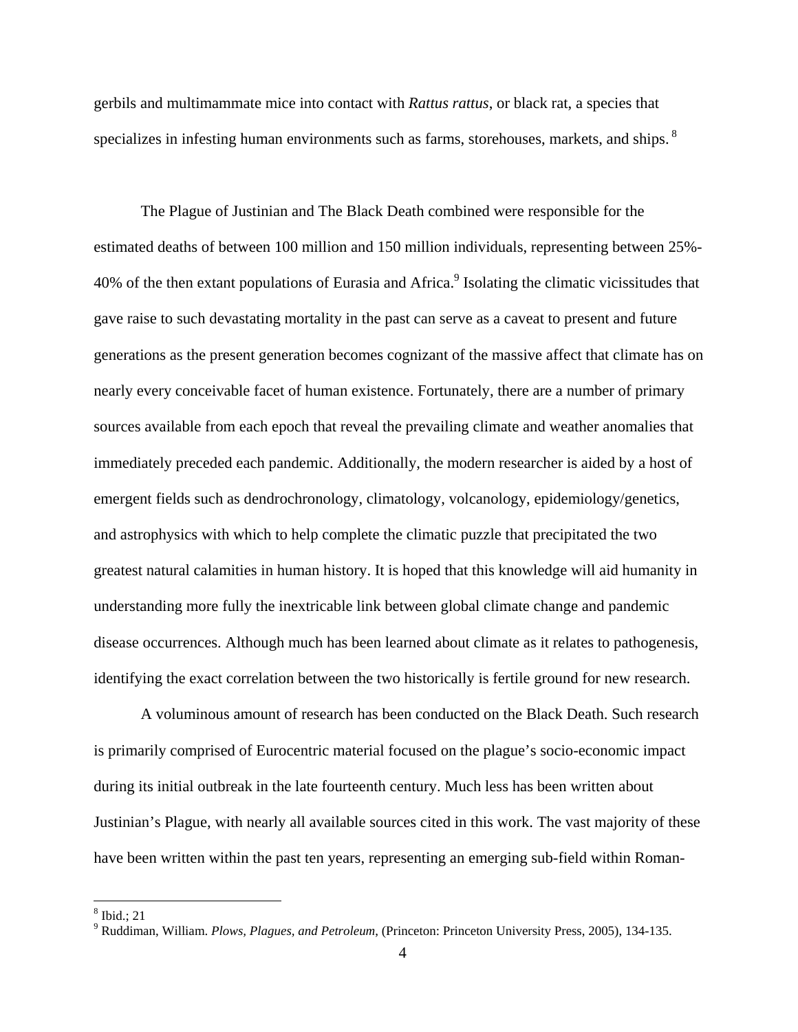gerbils and multimammate mice into contact with *Rattus rattus*, or black rat, a species that specializes in infesting human environments such as farms, storehouses, markets, and ships.<sup>8</sup>

The Plague of Justinian and The Black Death combined were responsible for the estimated deaths of between 100 million and 150 million individuals, representing between 25%- 40% of the then extant populations of Eurasia and Africa.<sup>9</sup> Isolating the climatic vicissitudes that gave raise to such devastating mortality in the past can serve as a caveat to present and future generations as the present generation becomes cognizant of the massive affect that climate has on nearly every conceivable facet of human existence. Fortunately, there are a number of primary sources available from each epoch that reveal the prevailing climate and weather anomalies that immediately preceded each pandemic. Additionally, the modern researcher is aided by a host of emergent fields such as dendrochronology, climatology, volcanology, epidemiology/genetics, and astrophysics with which to help complete the climatic puzzle that precipitated the two greatest natural calamities in human history. It is hoped that this knowledge will aid humanity in understanding more fully the inextricable link between global climate change and pandemic disease occurrences. Although much has been learned about climate as it relates to pathogenesis, identifying the exact correlation between the two historically is fertile ground for new research.

A voluminous amount of research has been conducted on the Black Death. Such research is primarily comprised of Eurocentric material focused on the plague's socio-economic impact during its initial outbreak in the late fourteenth century. Much less has been written about Justinian's Plague, with nearly all available sources cited in this work. The vast majority of these have been written within the past ten years, representing an emerging sub-field within Roman-

<sup>8</sup> Ibid.; 21

<sup>9</sup> Ruddiman, William. *Plows, Plagues, and Petroleum*, (Princeton: Princeton University Press, 2005), 134-135.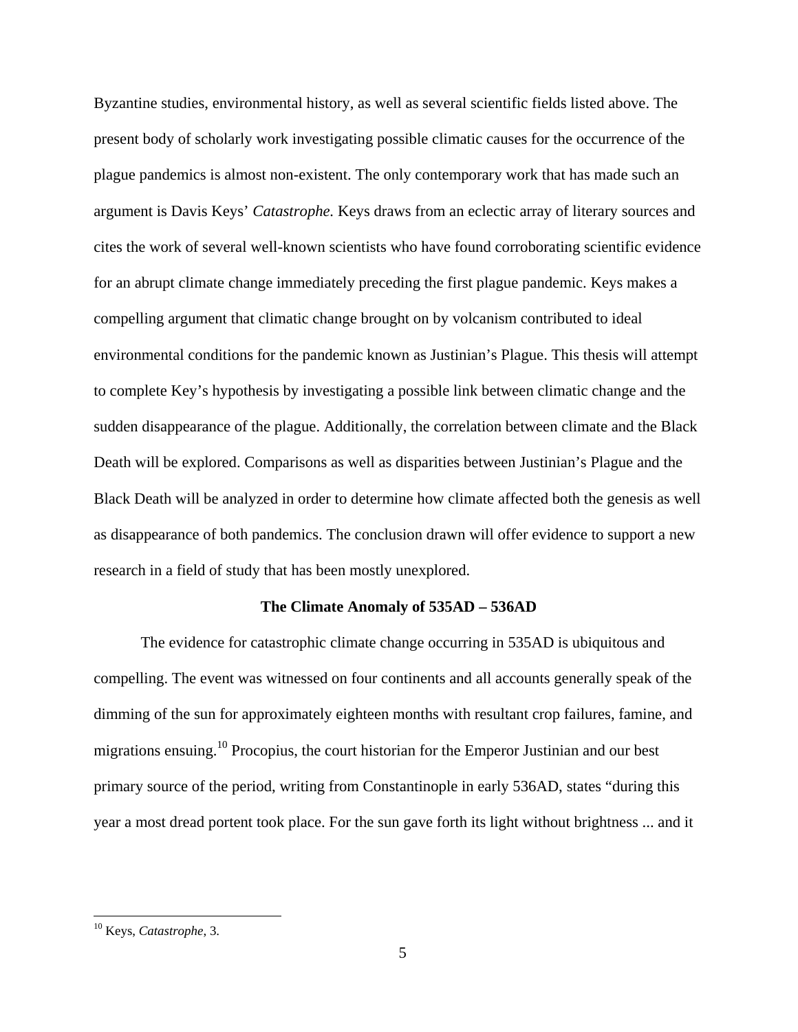Byzantine studies, environmental history, as well as several scientific fields listed above. The present body of scholarly work investigating possible climatic causes for the occurrence of the plague pandemics is almost non-existent. The only contemporary work that has made such an argument is Davis Keys' *Catastrophe.* Keys draws from an eclectic array of literary sources and cites the work of several well-known scientists who have found corroborating scientific evidence for an abrupt climate change immediately preceding the first plague pandemic. Keys makes a compelling argument that climatic change brought on by volcanism contributed to ideal environmental conditions for the pandemic known as Justinian's Plague. This thesis will attempt to complete Key's hypothesis by investigating a possible link between climatic change and the sudden disappearance of the plague. Additionally, the correlation between climate and the Black Death will be explored. Comparisons as well as disparities between Justinian's Plague and the Black Death will be analyzed in order to determine how climate affected both the genesis as well as disappearance of both pandemics. The conclusion drawn will offer evidence to support a new research in a field of study that has been mostly unexplored.

#### **The Climate Anomaly of 535AD – 536AD**

 The evidence for catastrophic climate change occurring in 535AD is ubiquitous and compelling. The event was witnessed on four continents and all accounts generally speak of the dimming of the sun for approximately eighteen months with resultant crop failures, famine, and migrations ensuing.10 Procopius, the court historian for the Emperor Justinian and our best primary source of the period, writing from Constantinople in early 536AD, states "during this year a most dread portent took place. For the sun gave forth its light without brightness ... and it

<sup>10</sup> Keys, *Catastrophe*, 3.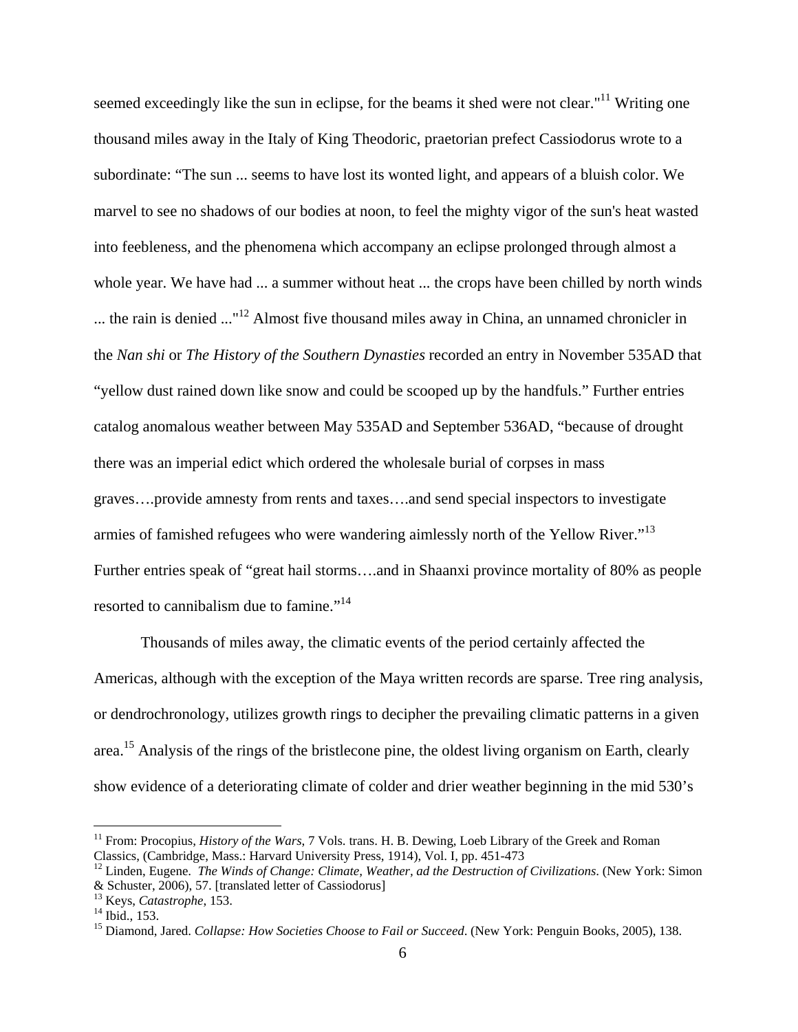seemed exceedingly like the sun in eclipse, for the beams it shed were not clear."<sup>11</sup> Writing one thousand miles away in the Italy of King Theodoric, praetorian prefect Cassiodorus wrote to a subordinate: "The sun ... seems to have lost its wonted light, and appears of a bluish color. We marvel to see no shadows of our bodies at noon, to feel the mighty vigor of the sun's heat wasted into feebleness, and the phenomena which accompany an eclipse prolonged through almost a whole year. We have had ... a summer without heat ... the crops have been chilled by north winds ... the rain is denied ..."12 Almost five thousand miles away in China, an unnamed chronicler in the *Nan shi* or *The History of the Southern Dynasties* recorded an entry in November 535AD that "yellow dust rained down like snow and could be scooped up by the handfuls." Further entries catalog anomalous weather between May 535AD and September 536AD, "because of drought there was an imperial edict which ordered the wholesale burial of corpses in mass graves….provide amnesty from rents and taxes….and send special inspectors to investigate armies of famished refugees who were wandering aimlessly north of the Yellow River."<sup>13</sup> Further entries speak of "great hail storms….and in Shaanxi province mortality of 80% as people resorted to cannibalism due to famine."<sup>14</sup>

 Thousands of miles away, the climatic events of the period certainly affected the Americas, although with the exception of the Maya written records are sparse. Tree ring analysis, or dendrochronology, utilizes growth rings to decipher the prevailing climatic patterns in a given area.<sup>15</sup> Analysis of the rings of the bristlecone pine, the oldest living organism on Earth, clearly show evidence of a deteriorating climate of colder and drier weather beginning in the mid 530's

<sup>&</sup>lt;sup>11</sup> From: Procopius, *History of the Wars*, 7 Vols. trans. H. B. Dewing, Loeb Library of the Greek and Roman Classics, (Cambridge, Mass.: Harvard University Press, 1914), Vol. I, pp. 451-473

<sup>12</sup> Linden, Eugene. *The Winds of Change: Climate, Weather, ad the Destruction of Civilizations*. (New York: Simon & Schuster, 2006), 57. [translated letter of Cassiodorus]

<sup>&</sup>lt;sup>13</sup> Keys, *Catastrophe*, 153.<br><sup>14</sup> Ibid., 153.

<sup>&</sup>lt;sup>15</sup> Diamond, Jared. *Collapse: How Societies Choose to Fail or Succeed*. (New York: Penguin Books, 2005), 138.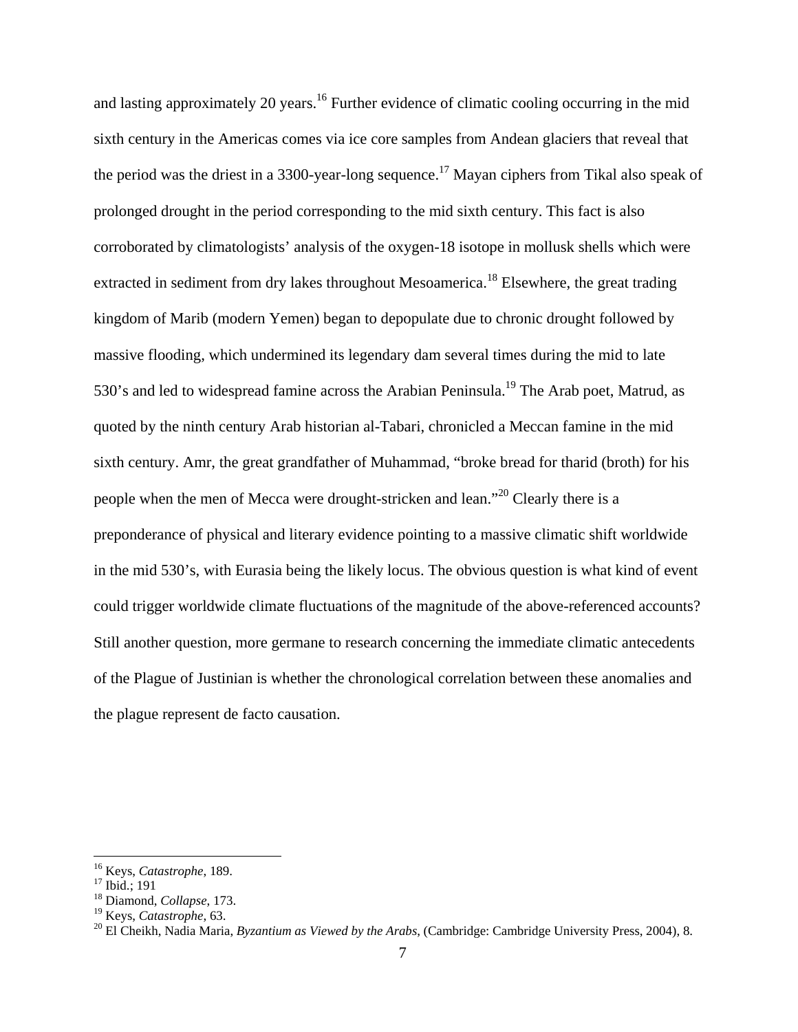and lasting approximately 20 years.<sup>16</sup> Further evidence of climatic cooling occurring in the mid sixth century in the Americas comes via ice core samples from Andean glaciers that reveal that the period was the driest in a 3300-year-long sequence.<sup>17</sup> Mayan ciphers from Tikal also speak of prolonged drought in the period corresponding to the mid sixth century. This fact is also corroborated by climatologists' analysis of the oxygen-18 isotope in mollusk shells which were extracted in sediment from dry lakes throughout Mesoamerica.<sup>18</sup> Elsewhere, the great trading kingdom of Marib (modern Yemen) began to depopulate due to chronic drought followed by massive flooding, which undermined its legendary dam several times during the mid to late 530's and led to widespread famine across the Arabian Peninsula.<sup>19</sup> The Arab poet, Matrud, as quoted by the ninth century Arab historian al-Tabari, chronicled a Meccan famine in the mid sixth century. Amr, the great grandfather of Muhammad, "broke bread for tharid (broth) for his people when the men of Mecca were drought-stricken and lean."20 Clearly there is a preponderance of physical and literary evidence pointing to a massive climatic shift worldwide in the mid 530's, with Eurasia being the likely locus. The obvious question is what kind of event could trigger worldwide climate fluctuations of the magnitude of the above-referenced accounts? Still another question, more germane to research concerning the immediate climatic antecedents of the Plague of Justinian is whether the chronological correlation between these anomalies and the plague represent de facto causation.

1

<sup>&</sup>lt;sup>16</sup> Keys, *Catastrophe*, 189.<br><sup>17</sup> Ibid.; 191

<sup>18</sup> Diamond, *Collapse*, 173.

<sup>&</sup>lt;sup>19</sup> Keys, *Catastrophe*, 63.<br><sup>20</sup> El Cheikh, Nadia Maria, *Byzantium as Viewed by the Arabs*, (Cambridge: Cambridge University Press, 2004), 8.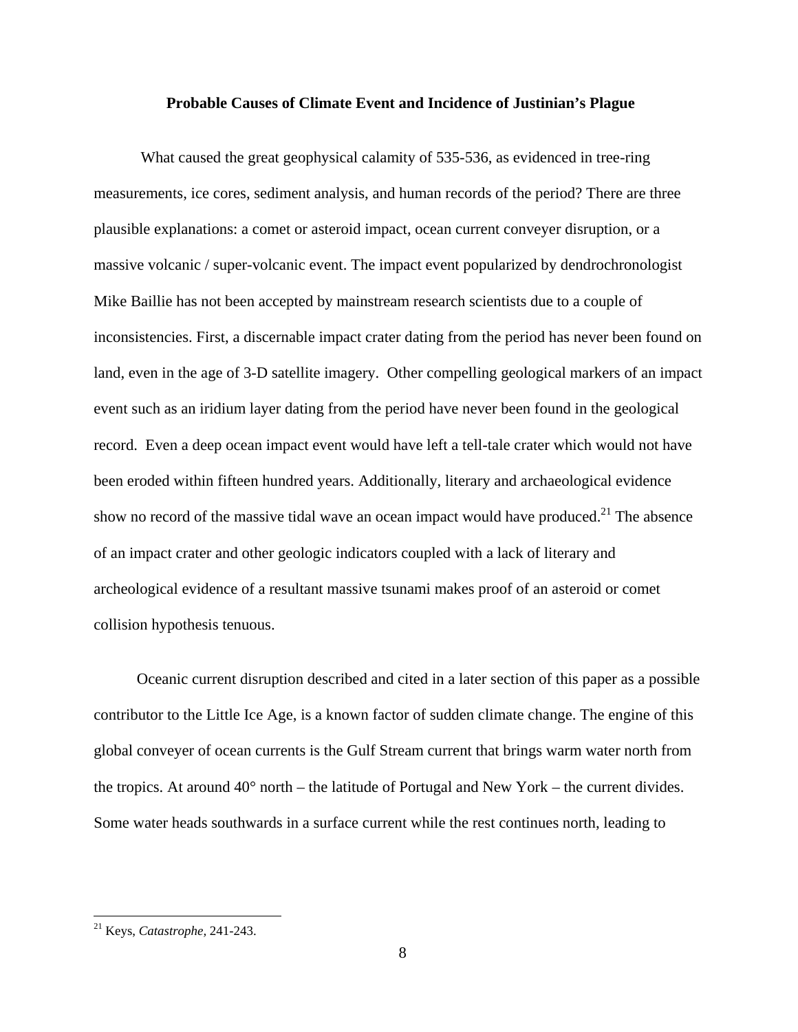#### **Probable Causes of Climate Event and Incidence of Justinian's Plague**

 What caused the great geophysical calamity of 535-536, as evidenced in tree-ring measurements, ice cores, sediment analysis, and human records of the period? There are three plausible explanations: a comet or asteroid impact, ocean current conveyer disruption, or a massive volcanic / super-volcanic event. The impact event popularized by dendrochronologist Mike Baillie has not been accepted by mainstream research scientists due to a couple of inconsistencies. First, a discernable impact crater dating from the period has never been found on land, even in the age of 3-D satellite imagery. Other compelling geological markers of an impact event such as an iridium layer dating from the period have never been found in the geological record. Even a deep ocean impact event would have left a tell-tale crater which would not have been eroded within fifteen hundred years. Additionally, literary and archaeological evidence show no record of the massive tidal wave an ocean impact would have produced.<sup>21</sup> The absence of an impact crater and other geologic indicators coupled with a lack of literary and archeological evidence of a resultant massive tsunami makes proof of an asteroid or comet collision hypothesis tenuous.

 Oceanic current disruption described and cited in a later section of this paper as a possible contributor to the Little Ice Age, is a known factor of sudden climate change. The engine of this global conveyer of ocean currents is the Gulf Stream current that brings warm water north from the tropics. At around  $40^{\circ}$  north – the latitude of Portugal and New York – the current divides. Some water heads southwards in a surface current while the rest continues north, leading to

<sup>21</sup> Keys, *Catastrophe,* 241-243.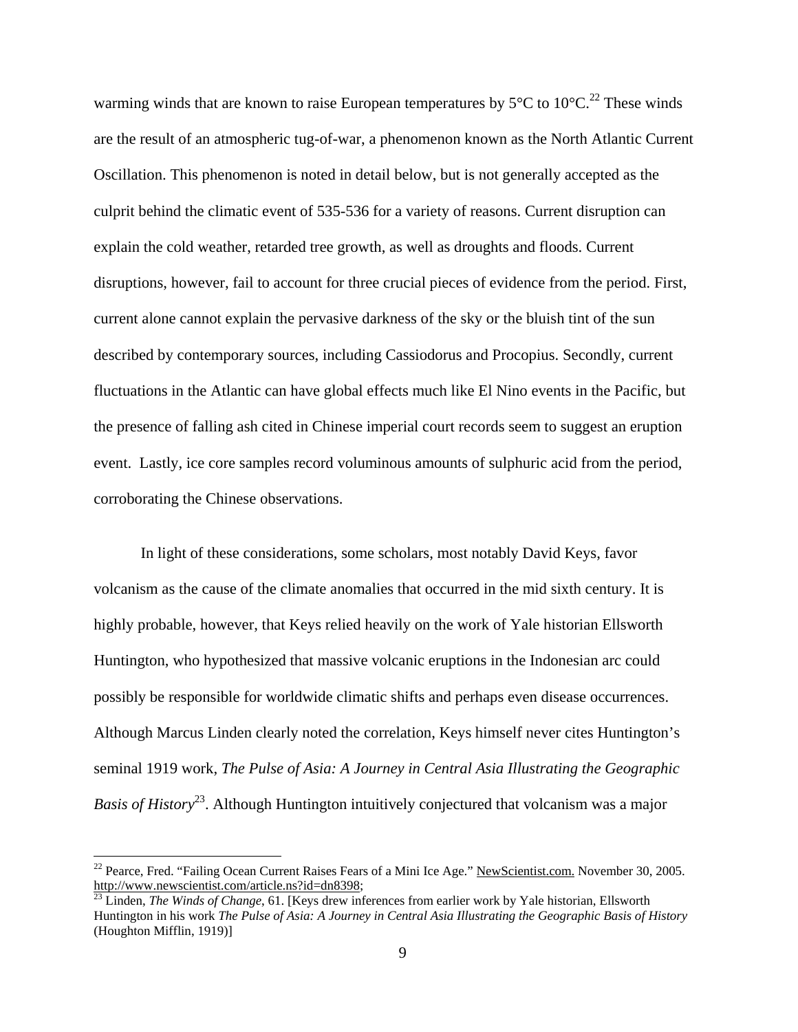warming winds that are known to raise European temperatures by  $5^{\circ}$ C to  $10^{\circ}$ C.<sup>22</sup> These winds are the result of an atmospheric tug-of-war, a phenomenon known as the North Atlantic Current Oscillation. This phenomenon is noted in detail below, but is not generally accepted as the culprit behind the climatic event of 535-536 for a variety of reasons. Current disruption can explain the cold weather, retarded tree growth, as well as droughts and floods. Current disruptions, however, fail to account for three crucial pieces of evidence from the period. First, current alone cannot explain the pervasive darkness of the sky or the bluish tint of the sun described by contemporary sources, including Cassiodorus and Procopius. Secondly, current fluctuations in the Atlantic can have global effects much like El Nino events in the Pacific, but the presence of falling ash cited in Chinese imperial court records seem to suggest an eruption event. Lastly, ice core samples record voluminous amounts of sulphuric acid from the period, corroborating the Chinese observations.

In light of these considerations, some scholars, most notably David Keys, favor volcanism as the cause of the climate anomalies that occurred in the mid sixth century. It is highly probable, however, that Keys relied heavily on the work of Yale historian Ellsworth Huntington, who hypothesized that massive volcanic eruptions in the Indonesian arc could possibly be responsible for worldwide climatic shifts and perhaps even disease occurrences. Although Marcus Linden clearly noted the correlation, Keys himself never cites Huntington's seminal 1919 work, *The Pulse of Asia: A Journey in Central Asia Illustrating the Geographic Basis of History*<sup>23</sup>. Although Huntington intuitively conjectured that volcanism was a major

<sup>&</sup>lt;sup>22</sup> Pearce, Fred. "Failing Ocean Current Raises Fears of a Mini Ice Age." <u>NewScientist.com.</u> November 30, 2005.<br>http://www.newscientist.com/article.ns?id=dn8398;

<sup>&</sup>lt;sup>23</sup> Linden, *The Winds of Change*, 61. [Keys drew inferences from earlier work by Yale historian, Ellsworth Huntington in his work *The Pulse of Asia: A Journey in Central Asia Illustrating the Geographic Basis of History* (Houghton Mifflin, 1919)]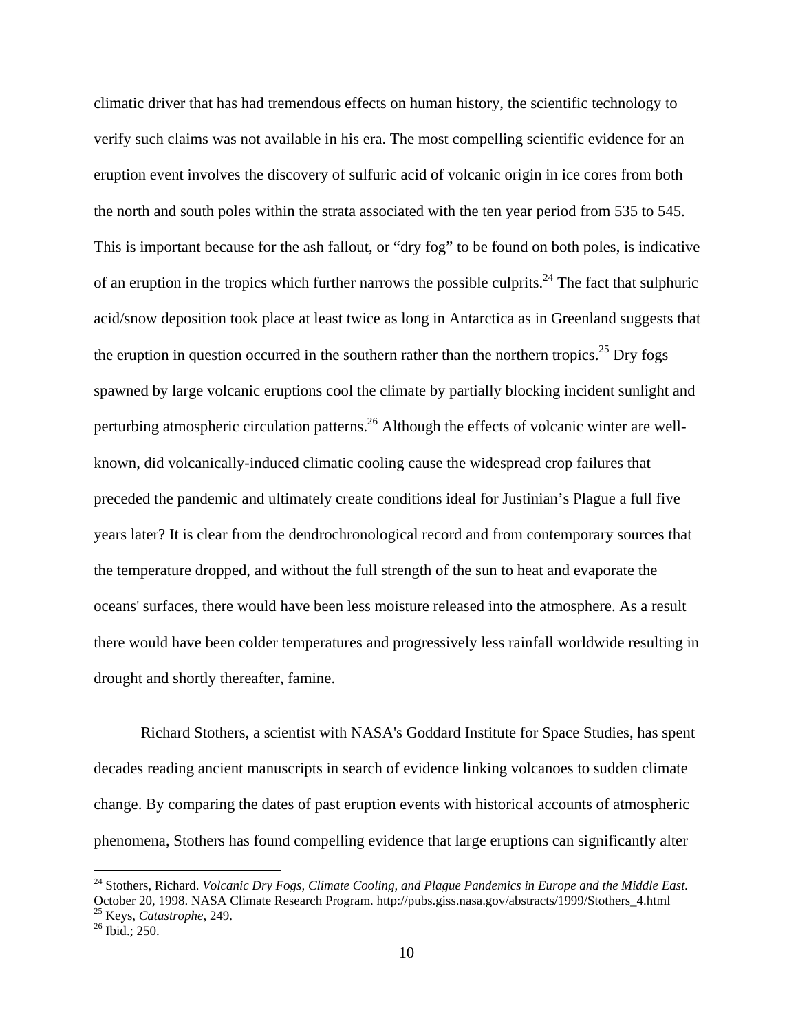climatic driver that has had tremendous effects on human history, the scientific technology to verify such claims was not available in his era. The most compelling scientific evidence for an eruption event involves the discovery of sulfuric acid of volcanic origin in ice cores from both the north and south poles within the strata associated with the ten year period from 535 to 545. This is important because for the ash fallout, or "dry fog" to be found on both poles, is indicative of an eruption in the tropics which further narrows the possible culprits.<sup>24</sup> The fact that sulphuric acid/snow deposition took place at least twice as long in Antarctica as in Greenland suggests that the eruption in question occurred in the southern rather than the northern tropics.<sup>25</sup> Dry fogs spawned by large volcanic eruptions cool the climate by partially blocking incident sunlight and perturbing atmospheric circulation patterns.<sup>26</sup> Although the effects of volcanic winter are wellknown, did volcanically-induced climatic cooling cause the widespread crop failures that preceded the pandemic and ultimately create conditions ideal for Justinian's Plague a full five years later? It is clear from the dendrochronological record and from contemporary sources that the temperature dropped, and without the full strength of the sun to heat and evaporate the oceans' surfaces, there would have been less moisture released into the atmosphere. As a result there would have been colder temperatures and progressively less rainfall worldwide resulting in drought and shortly thereafter, famine.

 Richard Stothers, a scientist with NASA's Goddard Institute for Space Studies, has spent decades reading ancient manuscripts in search of evidence linking volcanoes to sudden climate change. By comparing the dates of past eruption events with historical accounts of atmospheric phenomena, Stothers has found compelling evidence that large eruptions can significantly alter

<sup>&</sup>lt;sup>24</sup> Stothers, Richard. *Volcanic Dry Fogs, Climate Cooling, and Plague Pandemics in Europe and the Middle East.* October 20, 1998. NASA Climate Research Program. http://pubs.giss.nasa.gov/abstracts/1999/Stothers\_4.html 25 Keys, *Catastrophe*, 249. 26 Ibid.; 250.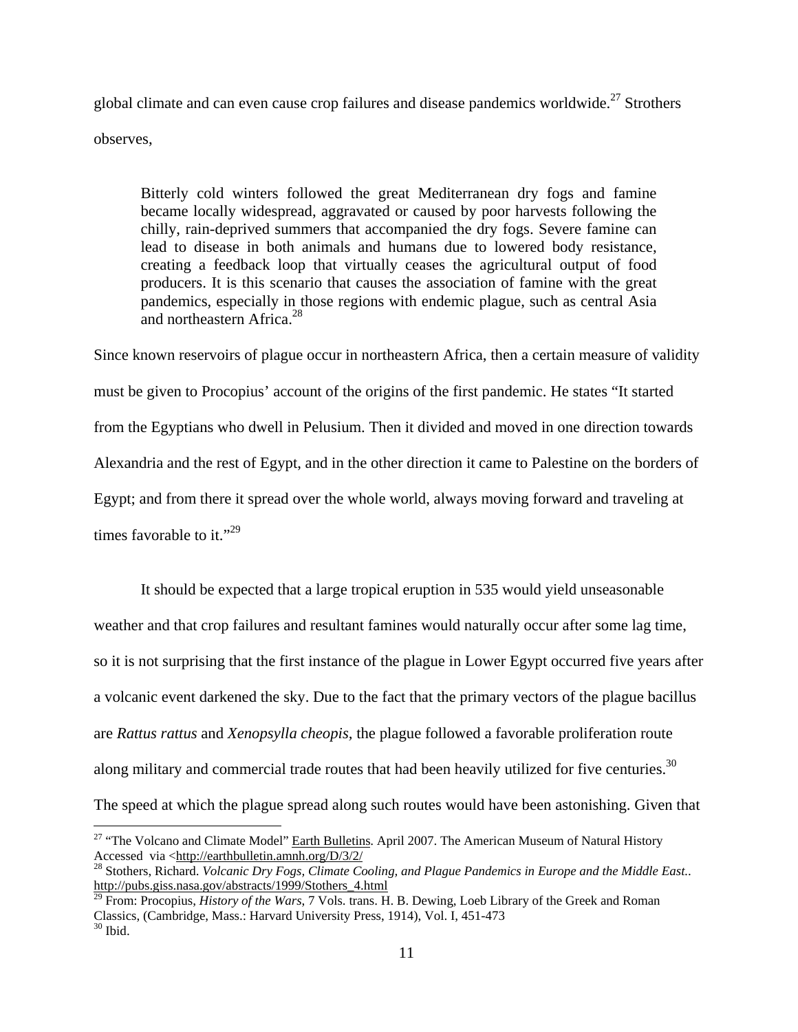global climate and can even cause crop failures and disease pandemics worldwide.<sup>27</sup> Strothers observes,

Bitterly cold winters followed the great Mediterranean dry fogs and famine became locally widespread, aggravated or caused by poor harvests following the chilly, rain-deprived summers that accompanied the dry fogs. Severe famine can lead to disease in both animals and humans due to lowered body resistance, creating a feedback loop that virtually ceases the agricultural output of food producers. It is this scenario that causes the association of famine with the great pandemics, especially in those regions with endemic plague, such as central Asia and northeastern Africa.<sup>28</sup>

Since known reservoirs of plague occur in northeastern Africa, then a certain measure of validity must be given to Procopius' account of the origins of the first pandemic. He states "It started from the Egyptians who dwell in Pelusium. Then it divided and moved in one direction towards Alexandria and the rest of Egypt, and in the other direction it came to Palestine on the borders of Egypt; and from there it spread over the whole world, always moving forward and traveling at times favorable to it."<sup>29</sup>

 It should be expected that a large tropical eruption in 535 would yield unseasonable weather and that crop failures and resultant famines would naturally occur after some lag time, so it is not surprising that the first instance of the plague in Lower Egypt occurred five years after a volcanic event darkened the sky. Due to the fact that the primary vectors of the plague bacillus are *Rattus rattus* and *Xenopsylla cheopis,* the plague followed a favorable proliferation route along military and commercial trade routes that had been heavily utilized for five centuries.<sup>30</sup> The speed at which the plague spread along such routes would have been astonishing. Given that

<u>.</u>

<sup>&</sup>lt;sup>27</sup> "The Volcano and Climate Model" Earth Bulletins. April 2007. The American Museum of Natural History Accessed via <http://earthbulletin.amnh.org/D/3/2/

<sup>28</sup> Stothers, Richard. *Volcanic Dry Fogs, Climate Cooling, and Plague Pandemics in Europe and the Middle East.*. http://pubs.giss.nasa.gov/abstracts/1999/Stothers 4.html <sup>29</sup> From: Procopius, *History of the Wars*, 7 Vols. trans. H. B. Dewing, Loeb Library of the Greek and Roman

Classics, (Cambridge, Mass.: Harvard University Press, 1914), Vol. I, 451-473 30 Ibid.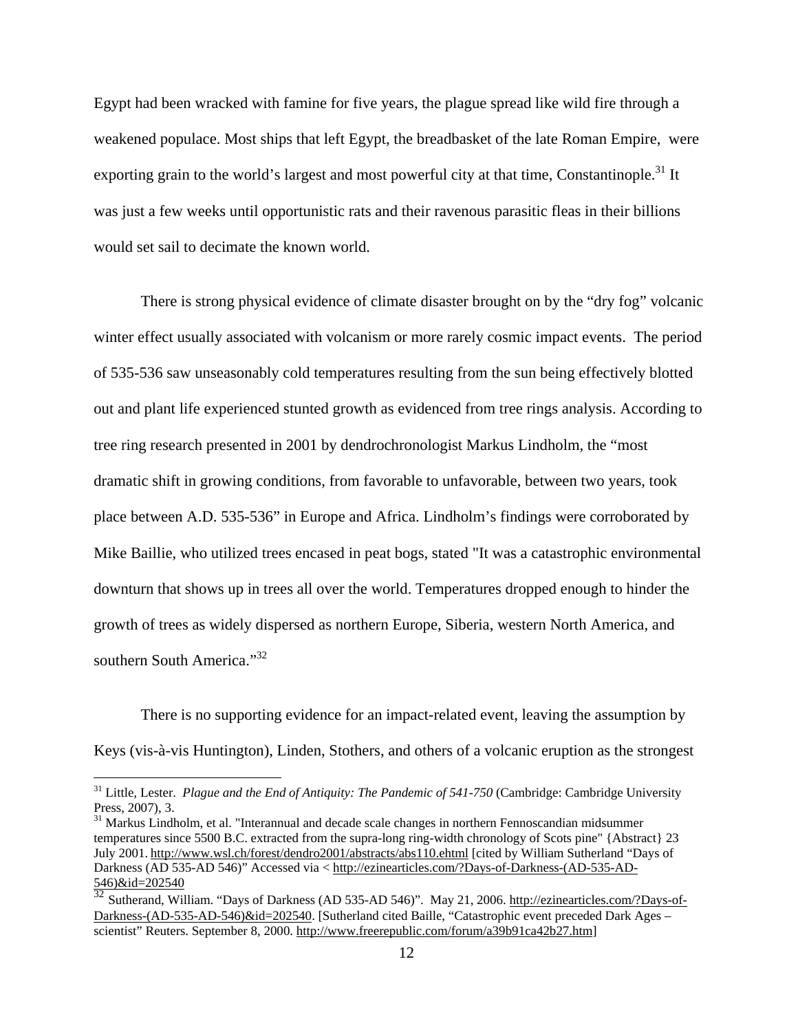Egypt had been wracked with famine for five years, the plague spread like wild fire through a weakened populace. Most ships that left Egypt, the breadbasket of the late Roman Empire, were exporting grain to the world's largest and most powerful city at that time, Constantinople.<sup>31</sup> It was just a few weeks until opportunistic rats and their ravenous parasitic fleas in their billions would set sail to decimate the known world.

 There is strong physical evidence of climate disaster brought on by the "dry fog" volcanic winter effect usually associated with volcanism or more rarely cosmic impact events. The period of 535-536 saw unseasonably cold temperatures resulting from the sun being effectively blotted out and plant life experienced stunted growth as evidenced from tree rings analysis. According to tree ring research presented in 2001 by dendrochronologist Markus Lindholm, the "most dramatic shift in growing conditions, from favorable to unfavorable, between two years, took place between A.D. 535-536" in Europe and Africa. Lindholm's findings were corroborated by Mike Baillie, who utilized trees encased in peat bogs, stated "It was a catastrophic environmental downturn that shows up in trees all over the world. Temperatures dropped enough to hinder the growth of trees as widely dispersed as northern Europe, Siberia, western North America, and southern South America."<sup>32</sup>

There is no supporting evidence for an impact-related event, leaving the assumption by Keys (vis-à-vis Huntington), Linden, Stothers, and others of a volcanic eruption as the strongest

<sup>&</sup>lt;sup>31</sup> Little, Lester. *Plague and the End of Antiquity: The Pandemic of 541-750* (Cambridge: Cambridge University Press, 2007), 3.

<sup>&</sup>lt;sup>31</sup> Markus Lindholm, et al. "Interannual and decade scale changes in northern Fennoscandian midsummer temperatures since 5500 B.C. extracted from the supra-long ring-width chronology of Scots pine" {Abstract} 23 July 2001. http://www.wsl.ch/forest/dendro2001/abstracts/abs110.ehtml [cited by William Sutherland "Days of Darkness (AD 535-AD 546)" Accessed via < http://ezinearticles.com/?Days-of-Darkness-(AD-535-AD- $\frac{546}{32}$  (AD 535)<br> $\frac{546}{32}$ 

<sup>32</sup> Sutherand, William. "Days of Darkness (AD 535-AD 546)". May 21, 2006. http://ezinearticles.com/?Days-of-Darkness-(AD-535-AD-546)&id=202540. [Sutherland cited Baille, "Catastrophic event preceded Dark Ages – scientist" Reuters. September 8, 2000. http://www.freerepublic.com/forum/a39b91ca42b27.htm]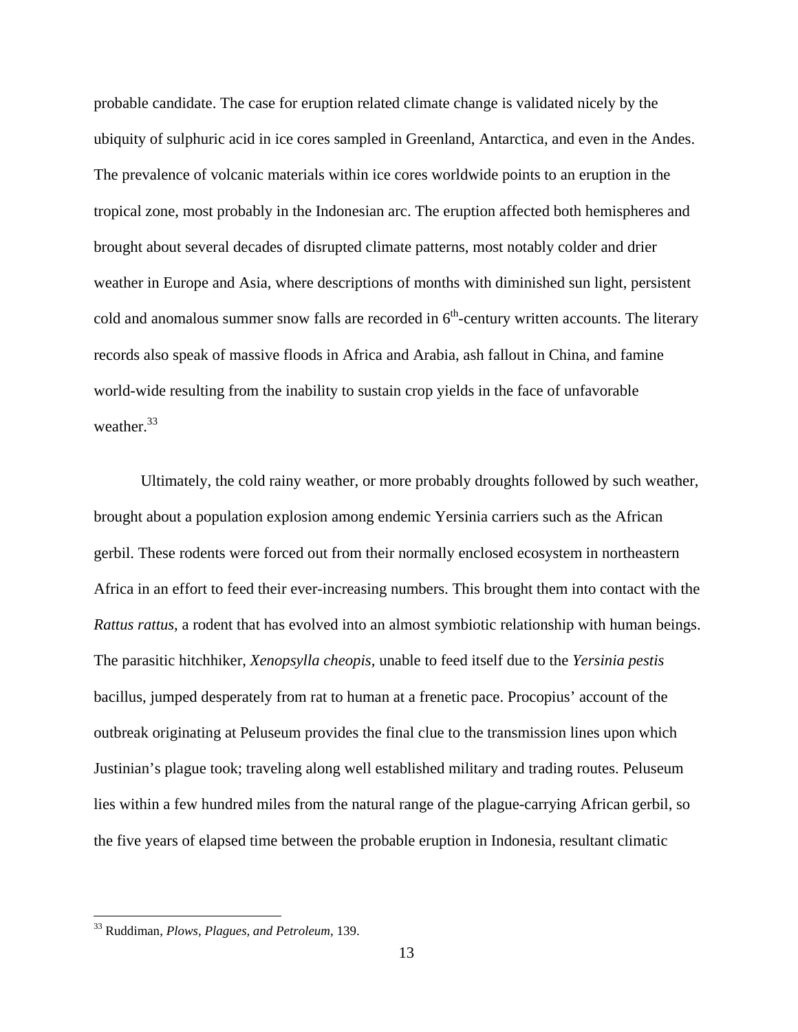probable candidate. The case for eruption related climate change is validated nicely by the ubiquity of sulphuric acid in ice cores sampled in Greenland, Antarctica, and even in the Andes. The prevalence of volcanic materials within ice cores worldwide points to an eruption in the tropical zone, most probably in the Indonesian arc. The eruption affected both hemispheres and brought about several decades of disrupted climate patterns, most notably colder and drier weather in Europe and Asia, where descriptions of months with diminished sun light, persistent cold and anomalous summer snow falls are recorded in  $6<sup>th</sup>$ -century written accounts. The literary records also speak of massive floods in Africa and Arabia, ash fallout in China, and famine world-wide resulting from the inability to sustain crop yields in the face of unfavorable weather.<sup>33</sup>

Ultimately, the cold rainy weather, or more probably droughts followed by such weather, brought about a population explosion among endemic Yersinia carriers such as the African gerbil. These rodents were forced out from their normally enclosed ecosystem in northeastern Africa in an effort to feed their ever-increasing numbers. This brought them into contact with the *Rattus rattus*, a rodent that has evolved into an almost symbiotic relationship with human beings. The parasitic hitchhiker, *Xenopsylla cheopis,* unable to feed itself due to the *Yersinia pestis* bacillus, jumped desperately from rat to human at a frenetic pace. Procopius' account of the outbreak originating at Peluseum provides the final clue to the transmission lines upon which Justinian's plague took; traveling along well established military and trading routes. Peluseum lies within a few hundred miles from the natural range of the plague-carrying African gerbil, so the five years of elapsed time between the probable eruption in Indonesia, resultant climatic

<u>.</u>

<sup>33</sup> Ruddiman, *Plows, Plagues, and Petroleum*, 139.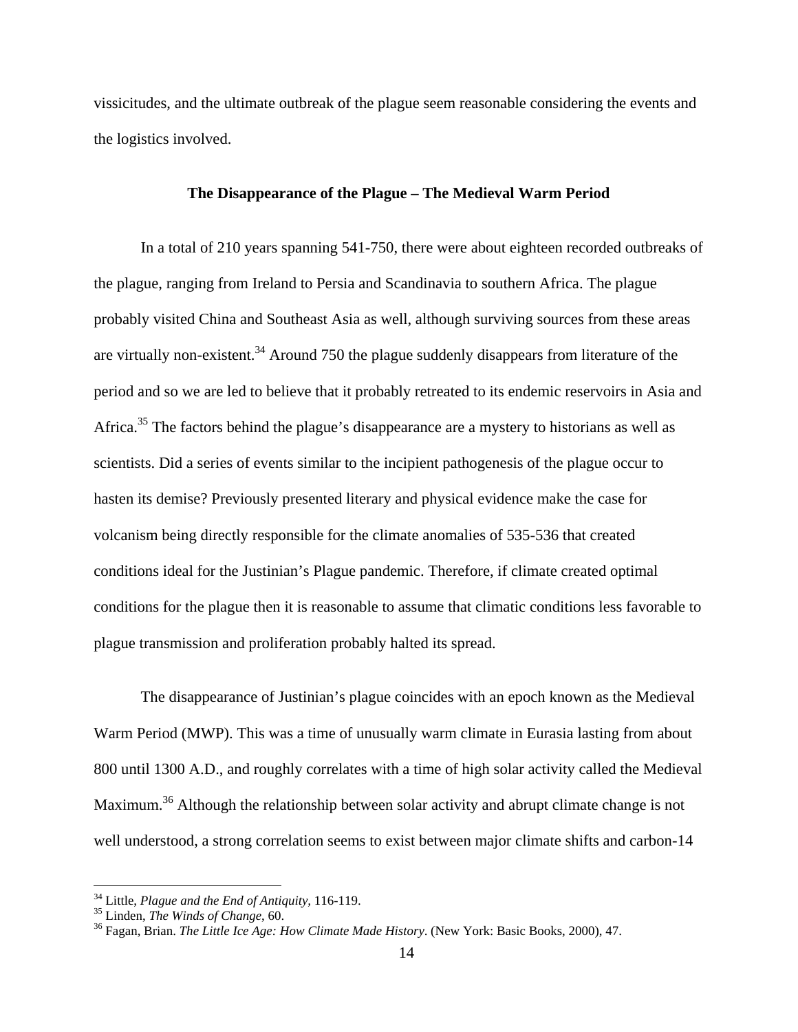vissicitudes, and the ultimate outbreak of the plague seem reasonable considering the events and the logistics involved.

# **The Disappearance of the Plague – The Medieval Warm Period**

 In a total of 210 years spanning 541-750, there were about eighteen recorded outbreaks of the plague, ranging from Ireland to Persia and Scandinavia to southern Africa. The plague probably visited China and Southeast Asia as well, although surviving sources from these areas are virtually non-existent.<sup>34</sup> Around 750 the plague suddenly disappears from literature of the period and so we are led to believe that it probably retreated to its endemic reservoirs in Asia and Africa.<sup>35</sup> The factors behind the plague's disappearance are a mystery to historians as well as scientists. Did a series of events similar to the incipient pathogenesis of the plague occur to hasten its demise? Previously presented literary and physical evidence make the case for volcanism being directly responsible for the climate anomalies of 535-536 that created conditions ideal for the Justinian's Plague pandemic. Therefore, if climate created optimal conditions for the plague then it is reasonable to assume that climatic conditions less favorable to plague transmission and proliferation probably halted its spread.

 The disappearance of Justinian's plague coincides with an epoch known as the Medieval Warm Period (MWP). This was a time of unusually warm climate in Eurasia lasting from about 800 until 1300 A.D., and roughly correlates with a time of high solar activity called the Medieval Maximum.<sup>36</sup> Although the relationship between solar activity and abrupt climate change is not well understood, a strong correlation seems to exist between major climate shifts and carbon-14

<sup>&</sup>lt;sup>34</sup> Little, *Plague and the End of Antiquity*, 116-119.<br><sup>35</sup> Linden, *The Winds of Change*, 60.

<sup>&</sup>lt;sup>36</sup> Fagan, Brian. *The Little Ice Age: How Climate Made History*. (New York: Basic Books, 2000), 47.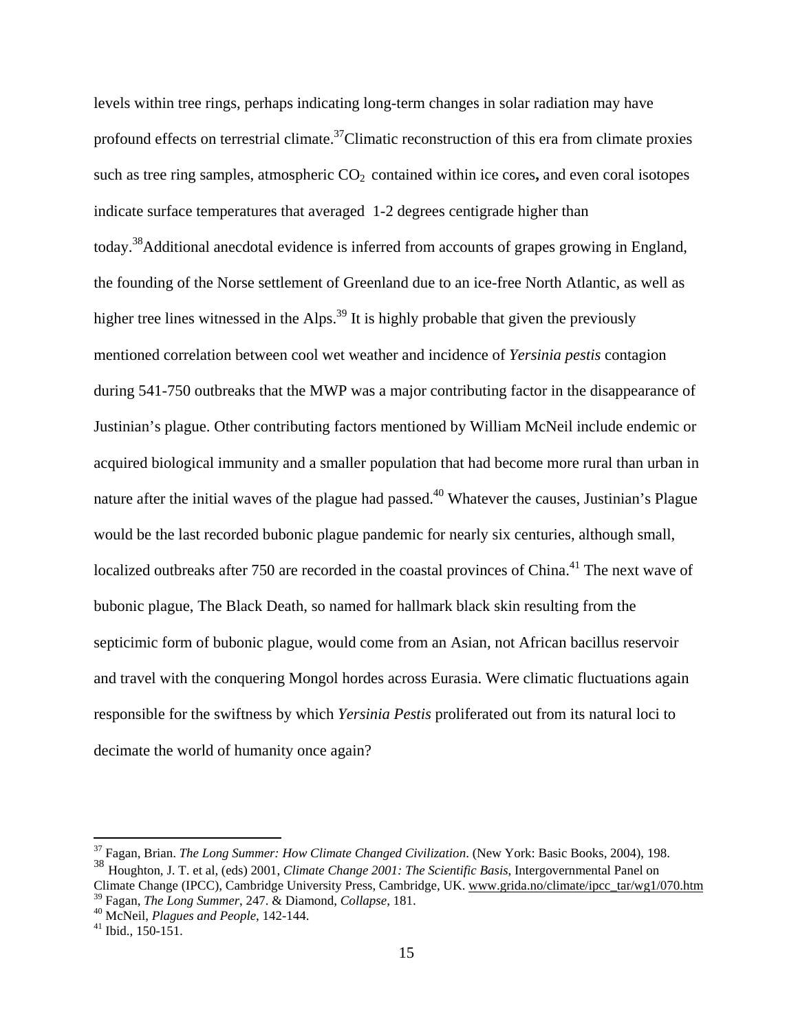levels within tree rings, perhaps indicating long-term changes in solar radiation may have profound effects on terrestrial climate.<sup>37</sup>Climatic reconstruction of this era from climate proxies such as tree ring samples, atmospheric  $CO<sub>2</sub>$  contained within ice cores, and even coral isotopes indicate surface temperatures that averaged 1-2 degrees centigrade higher than today.38Additional anecdotal evidence is inferred from accounts of grapes growing in England, the founding of the Norse settlement of Greenland due to an ice-free North Atlantic, as well as higher tree lines witnessed in the Alps.<sup>39</sup> It is highly probable that given the previously mentioned correlation between cool wet weather and incidence of *Yersinia pestis* contagion during 541-750 outbreaks that the MWP was a major contributing factor in the disappearance of Justinian's plague. Other contributing factors mentioned by William McNeil include endemic or acquired biological immunity and a smaller population that had become more rural than urban in nature after the initial waves of the plague had passed.<sup>40</sup> Whatever the causes, Justinian's Plague would be the last recorded bubonic plague pandemic for nearly six centuries, although small, localized outbreaks after 750 are recorded in the coastal provinces of China.<sup>41</sup> The next wave of bubonic plague, The Black Death, so named for hallmark black skin resulting from the septicimic form of bubonic plague, would come from an Asian, not African bacillus reservoir and travel with the conquering Mongol hordes across Eurasia. Were climatic fluctuations again responsible for the swiftness by which *Yersinia Pestis* proliferated out from its natural loci to decimate the world of humanity once again?

<sup>37</sup> Fagan, Brian. *The Long Summer: How Climate Changed Civilization*. (New York: Basic Books, 2004), 198. <sup>38</sup> Houghton, J. T. et al, (eds) 2001, *Climate Change 2001: The Scientific Basis*, Intergovernmental Panel on

Climate Change (IPCC), Cambridge University Press, Cambridge, UK. www.grida.no/climate/ipcc\_tar/wg1/070.htm 39 Fagan, *The Long Summer*, 247. & Diamond, *Collapse*, 181. 40 McNeil, *Plagues and People*, 142-144. 41 Ibid., 150-151.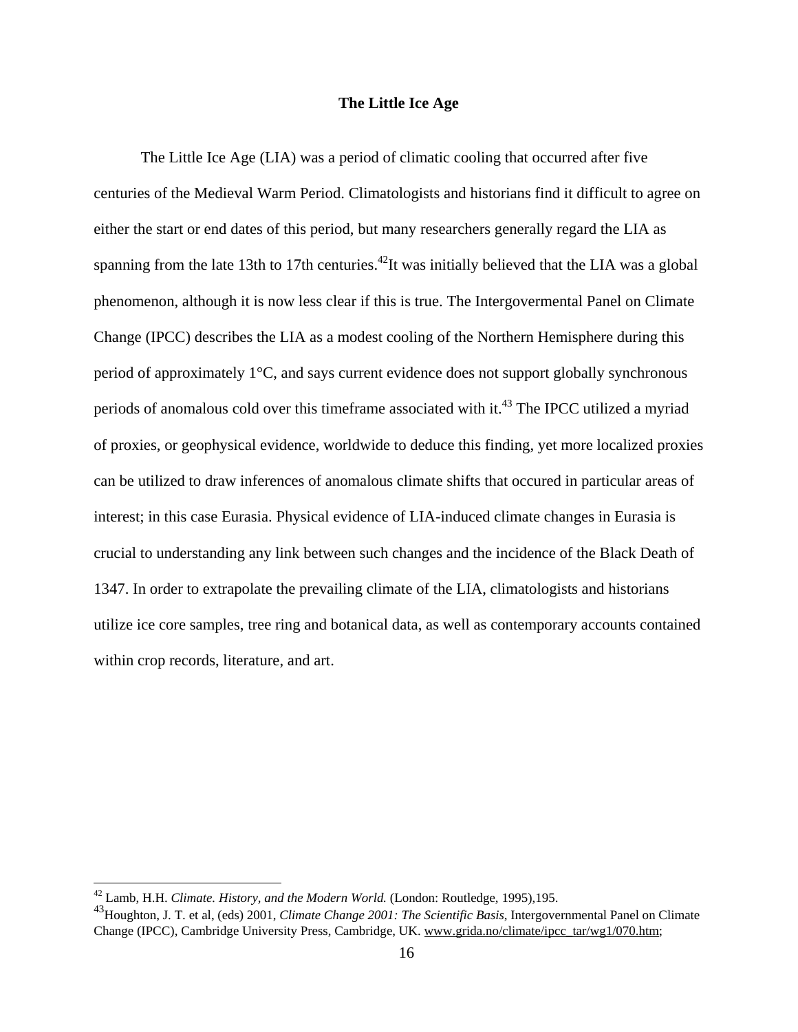# **The Little Ice Age**

 The Little Ice Age (LIA) was a period of climatic cooling that occurred after five centuries of the Medieval Warm Period. Climatologists and historians find it difficult to agree on either the start or end dates of this period, but many researchers generally regard the LIA as spanning from the late 13th to 17th centuries.<sup>42</sup>It was initially believed that the LIA was a global phenomenon, although it is now less clear if this is true. The Intergovermental Panel on Climate Change (IPCC) describes the LIA as a modest cooling of the Northern Hemisphere during this period of approximately 1°C, and says current evidence does not support globally synchronous periods of anomalous cold over this timeframe associated with it.<sup>43</sup> The IPCC utilized a myriad of proxies, or geophysical evidence, worldwide to deduce this finding, yet more localized proxies can be utilized to draw inferences of anomalous climate shifts that occured in particular areas of interest; in this case Eurasia. Physical evidence of LIA-induced climate changes in Eurasia is crucial to understanding any link between such changes and the incidence of the Black Death of 1347. In order to extrapolate the prevailing climate of the LIA, climatologists and historians utilize ice core samples, tree ring and botanical data, as well as contemporary accounts contained within crop records, literature, and art.

<sup>42</sup> Lamb, H.H. *Climate. History, and the Modern World.* (London: Routledge, 1995),195.

<sup>43</sup>Houghton, J. T. et al, (eds) 2001, *Climate Change 2001: The Scientific Basis*, Intergovernmental Panel on Climate Change (IPCC), Cambridge University Press, Cambridge, UK. www.grida.no/climate/ipcc\_tar/wg1/070.htm;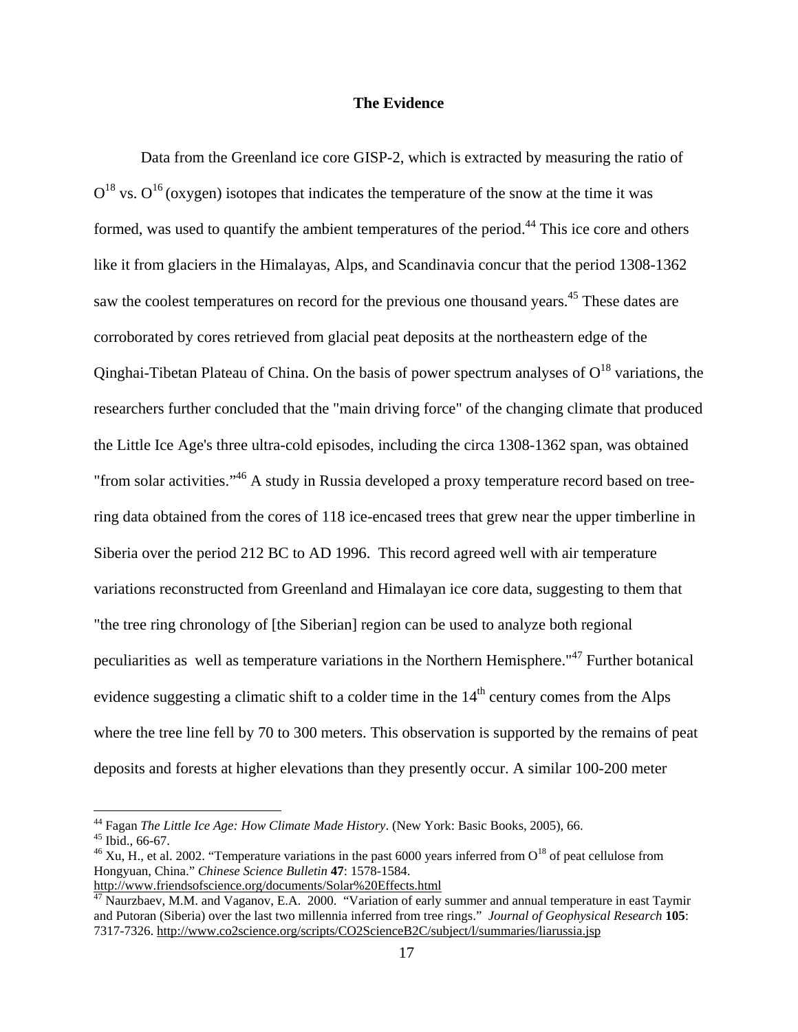## **The Evidence**

Data from the Greenland ice core GISP-2, which is extracted by measuring the ratio of  $O^{18}$  vs.  $O^{16}$  (oxygen) isotopes that indicates the temperature of the snow at the time it was formed, was used to quantify the ambient temperatures of the period.<sup>44</sup> This ice core and others like it from glaciers in the Himalayas, Alps, and Scandinavia concur that the period 1308-1362 saw the coolest temperatures on record for the previous one thousand years.<sup>45</sup> These dates are corroborated by cores retrieved from glacial peat deposits at the northeastern edge of the Qinghai-Tibetan Plateau of China. On the basis of power spectrum analyses of  $O^{18}$  variations, the researchers further concluded that the "main driving force" of the changing climate that produced the Little Ice Age's three ultra-cold episodes, including the circa 1308-1362 span, was obtained "from solar activities."<sup>46</sup> A study in Russia developed a proxy temperature record based on treering data obtained from the cores of 118 ice-encased trees that grew near the upper timberline in Siberia over the period 212 BC to AD 1996. This record agreed well with air temperature variations reconstructed from Greenland and Himalayan ice core data, suggesting to them that "the tree ring chronology of [the Siberian] region can be used to analyze both regional peculiarities as well as temperature variations in the Northern Hemisphere."47 Further botanical evidence suggesting a climatic shift to a colder time in the  $14<sup>th</sup>$  century comes from the Alps where the tree line fell by 70 to 300 meters. This observation is supported by the remains of peat deposits and forests at higher elevations than they presently occur. A similar 100-200 meter

1

<sup>44</sup> Fagan *The Little Ice Age: How Climate Made History*. (New York: Basic Books, 2005), 66. 45 Ibid., 66-67.

<sup>&</sup>lt;sup>46</sup> Xu, H., et al. 2002. "Temperature variations in the past 6000 years inferred from  $O^{18}$  of peat cellulose from Hongyuan, China." *Chinese Science Bulletin* **47**: 1578-1584.

http://www.friendsofscience.org/documents/Solar%20Effects.html

 $^{47}$  Naurzbaev, M.M. and Vaganov, E.A. 2000. "Variation of early summer and annual temperature in east Taymir and Putoran (Siberia) over the last two millennia inferred from tree rings." *Journal of Geophysical Research* **105**: 7317-7326. http://www.co2science.org/scripts/CO2ScienceB2C/subject/l/summaries/liarussia.jsp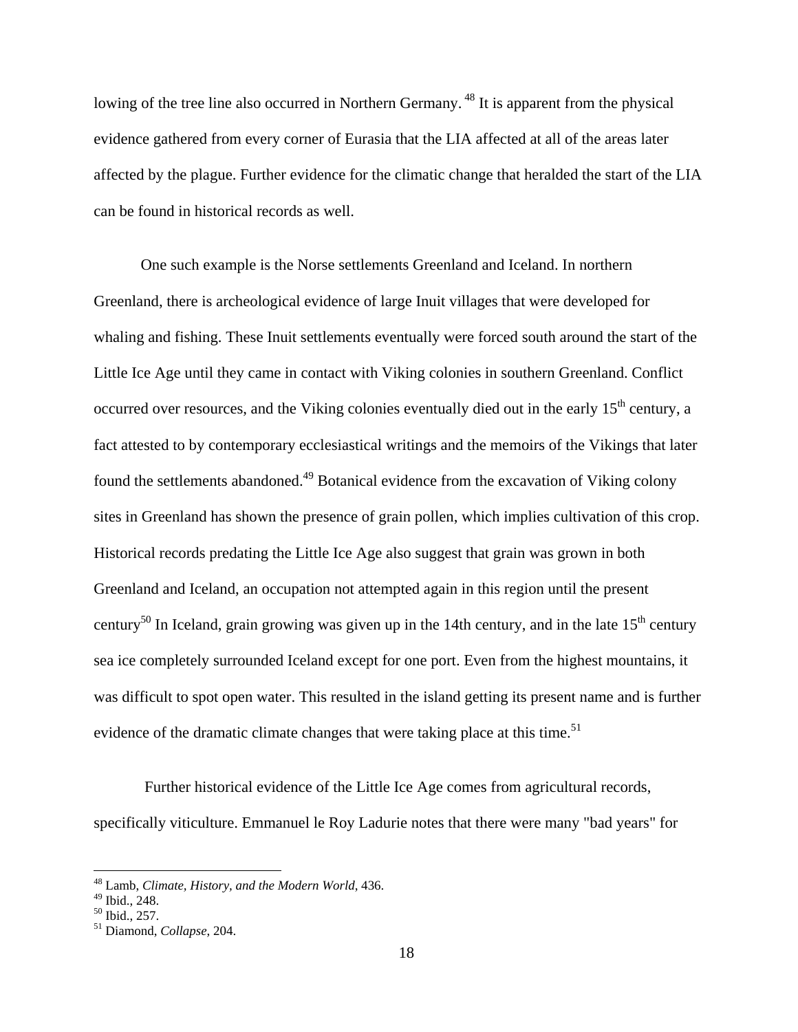lowing of the tree line also occurred in Northern Germany.<sup>48</sup> It is apparent from the physical evidence gathered from every corner of Eurasia that the LIA affected at all of the areas later affected by the plague. Further evidence for the climatic change that heralded the start of the LIA can be found in historical records as well.

One such example is the Norse settlements Greenland and Iceland. In northern Greenland, there is archeological evidence of large Inuit villages that were developed for whaling and fishing. These Inuit settlements eventually were forced south around the start of the Little Ice Age until they came in contact with Viking colonies in southern Greenland. Conflict occurred over resources, and the Viking colonies eventually died out in the early  $15<sup>th</sup>$  century, a fact attested to by contemporary ecclesiastical writings and the memoirs of the Vikings that later found the settlements abandoned.<sup>49</sup> Botanical evidence from the excavation of Viking colony sites in Greenland has shown the presence of grain pollen, which implies cultivation of this crop. Historical records predating the Little Ice Age also suggest that grain was grown in both Greenland and Iceland, an occupation not attempted again in this region until the present century<sup>50</sup> In Iceland, grain growing was given up in the 14th century, and in the late  $15<sup>th</sup>$  century sea ice completely surrounded Iceland except for one port. Even from the highest mountains, it was difficult to spot open water. This resulted in the island getting its present name and is further evidence of the dramatic climate changes that were taking place at this time.<sup>51</sup>

 Further historical evidence of the Little Ice Age comes from agricultural records, specifically viticulture. Emmanuel le Roy Ladurie notes that there were many "bad years" for

<sup>48</sup> Lamb, *Climate, History, and the Modern World*, 436.

<sup>49</sup> Ibid., 248.

 $50$  Ibid., 257.

<sup>51</sup> Diamond, *Collapse*, 204.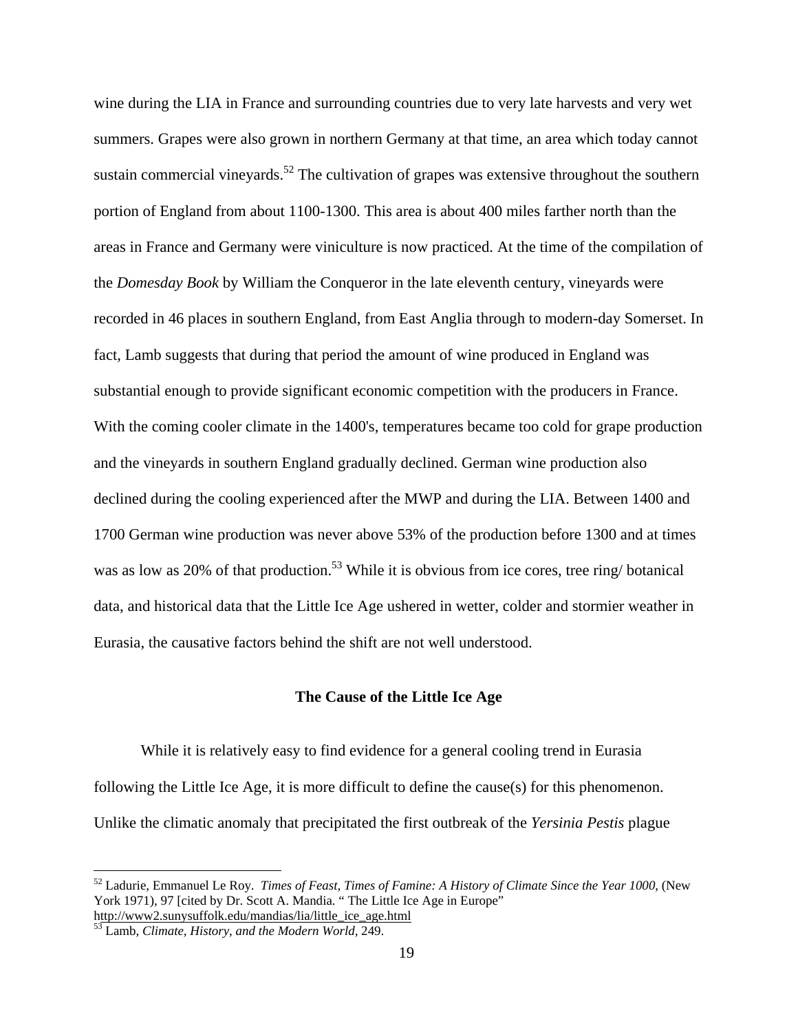wine during the LIA in France and surrounding countries due to very late harvests and very wet summers. Grapes were also grown in northern Germany at that time, an area which today cannot sustain commercial vineyards.<sup>52</sup> The cultivation of grapes was extensive throughout the southern portion of England from about 1100-1300. This area is about 400 miles farther north than the areas in France and Germany were viniculture is now practiced. At the time of the compilation of the *Domesday Book* by William the Conqueror in the late eleventh century, vineyards were recorded in 46 places in southern England, from East Anglia through to modern-day Somerset. In fact, Lamb suggests that during that period the amount of wine produced in England was substantial enough to provide significant economic competition with the producers in France. With the coming cooler climate in the 1400's, temperatures became too cold for grape production and the vineyards in southern England gradually declined. German wine production also declined during the cooling experienced after the MWP and during the LIA. Between 1400 and 1700 German wine production was never above 53% of the production before 1300 and at times was as low as  $20\%$  of that production.<sup>53</sup> While it is obvious from ice cores, tree ring/ botanical data, and historical data that the Little Ice Age ushered in wetter, colder and stormier weather in Eurasia, the causative factors behind the shift are not well understood.

# **The Cause of the Little Ice Age**

While it is relatively easy to find evidence for a general cooling trend in Eurasia following the Little Ice Age, it is more difficult to define the cause(s) for this phenomenon. Unlike the climatic anomaly that precipitated the first outbreak of the *Yersinia Pestis* plague

<sup>52</sup> Ladurie, Emmanuel Le Roy. *Times of Feast, Times of Famine: A History of Climate Since the Year 1000*, (New York 1971), 97 [cited by Dr. Scott A. Mandia. "The Little Ice Age in Europe"

http://www2.sunysuffolk.edu/mandias/lia/little\_ice\_age.html 53 Lamb, *Climate, History, and the Modern World,* 249.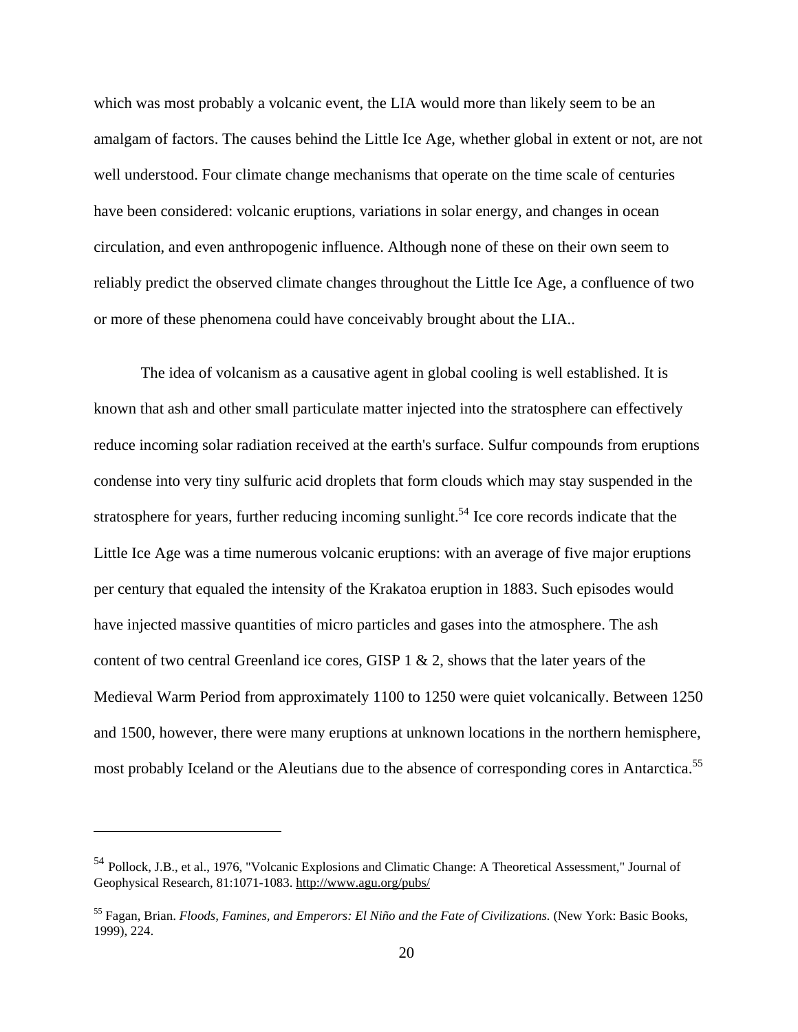which was most probably a volcanic event, the LIA would more than likely seem to be an amalgam of factors. The causes behind the Little Ice Age, whether global in extent or not, are not well understood. Four climate change mechanisms that operate on the time scale of centuries have been considered: volcanic eruptions, variations in solar energy, and changes in ocean circulation, and even anthropogenic influence. Although none of these on their own seem to reliably predict the observed climate changes throughout the Little Ice Age, a confluence of two or more of these phenomena could have conceivably brought about the LIA..

The idea of volcanism as a causative agent in global cooling is well established. It is known that ash and other small particulate matter injected into the stratosphere can effectively reduce incoming solar radiation received at the earth's surface. Sulfur compounds from eruptions condense into very tiny sulfuric acid droplets that form clouds which may stay suspended in the stratosphere for years, further reducing incoming sunlight.<sup>54</sup> Ice core records indicate that the Little Ice Age was a time numerous volcanic eruptions: with an average of five major eruptions per century that equaled the intensity of the Krakatoa eruption in 1883. Such episodes would have injected massive quantities of micro particles and gases into the atmosphere. The ash content of two central Greenland ice cores, GISP 1 & 2, shows that the later years of the Medieval Warm Period from approximately 1100 to 1250 were quiet volcanically. Between 1250 and 1500, however, there were many eruptions at unknown locations in the northern hemisphere, most probably Iceland or the Aleutians due to the absence of corresponding cores in Antarctica.<sup>55</sup>

<sup>54</sup> Pollock, J.B., et al., 1976, "Volcanic Explosions and Climatic Change: A Theoretical Assessment," Journal of Geophysical Research, 81:1071-1083. http://www.agu.org/pubs/

<sup>55</sup> Fagan, Brian. *Floods, Famines, and Emperors: El Niño and the Fate of Civilizations.* (New York: Basic Books, 1999), 224.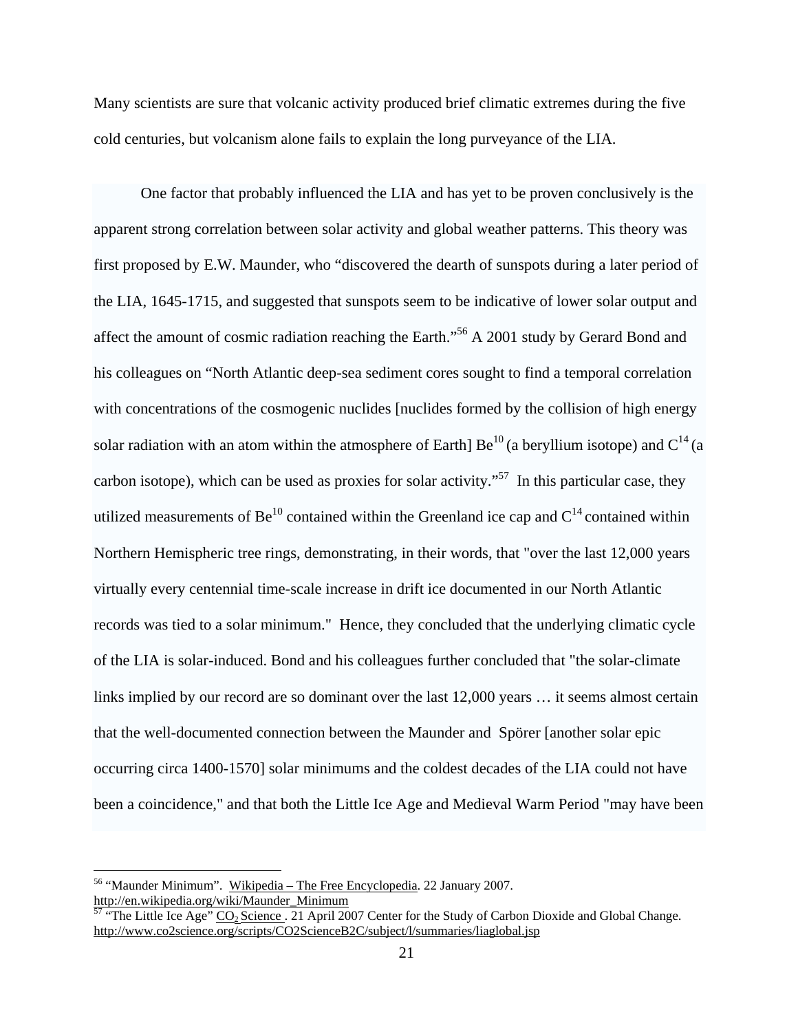Many scientists are sure that volcanic activity produced brief climatic extremes during the five cold centuries, but volcanism alone fails to explain the long purveyance of the LIA.

One factor that probably influenced the LIA and has yet to be proven conclusively is the apparent strong correlation between solar activity and global weather patterns. This theory was first proposed by E.W. Maunder, who "discovered the dearth of sunspots during a later period of the LIA, 1645-1715, and suggested that sunspots seem to be indicative of lower solar output and affect the amount of cosmic radiation reaching the Earth."<sup>56</sup> A 2001 study by Gerard Bond and his colleagues on "North Atlantic deep-sea sediment cores sought to find a temporal correlation with concentrations of the cosmogenic nuclides [nuclides formed by the collision of high energy solar radiation with an atom within the atmosphere of Earth]  $Be^{10}$  (a beryllium isotope) and  $C^{14}$  (a carbon isotope), which can be used as proxies for solar activity.<sup> $57$ </sup> In this particular case, they utilized measurements of  $Be^{10}$  contained within the Greenland ice cap and  $C^{14}$  contained within Northern Hemispheric tree rings, demonstrating, in their words, that "over the last 12,000 years virtually every centennial time-scale increase in drift ice documented in our North Atlantic records was tied to a solar minimum." Hence, they concluded that the underlying climatic cycle of the LIA is solar-induced. Bond and his colleagues further concluded that "the solar-climate links implied by our record are so dominant over the last 12,000 years ... it seems almost certain that the well-documented connection between the Maunder and Spörer [another solar epic occurring circa 1400-1570] solar minimums and the coldest decades of the LIA could not have been a coincidence," and that both the Little Ice Age and Medieval Warm Period "may have been

<sup>&</sup>lt;sup>56</sup> "Maunder Minimum". Wikipedia – The Free Encyclopedia. 22 January 2007. http://en.wikipedia.org/wiki/Maunder\_Minimum

<sup>&</sup>lt;sup>57</sup> "The Little Ice Age"  $\underline{CO_2}$  Science. 21 April 2007 Center for the Study of Carbon Dioxide and Global Change. http://www.co2science.org/scripts/CO2ScienceB2C/subject/l/summaries/liaglobal.jsp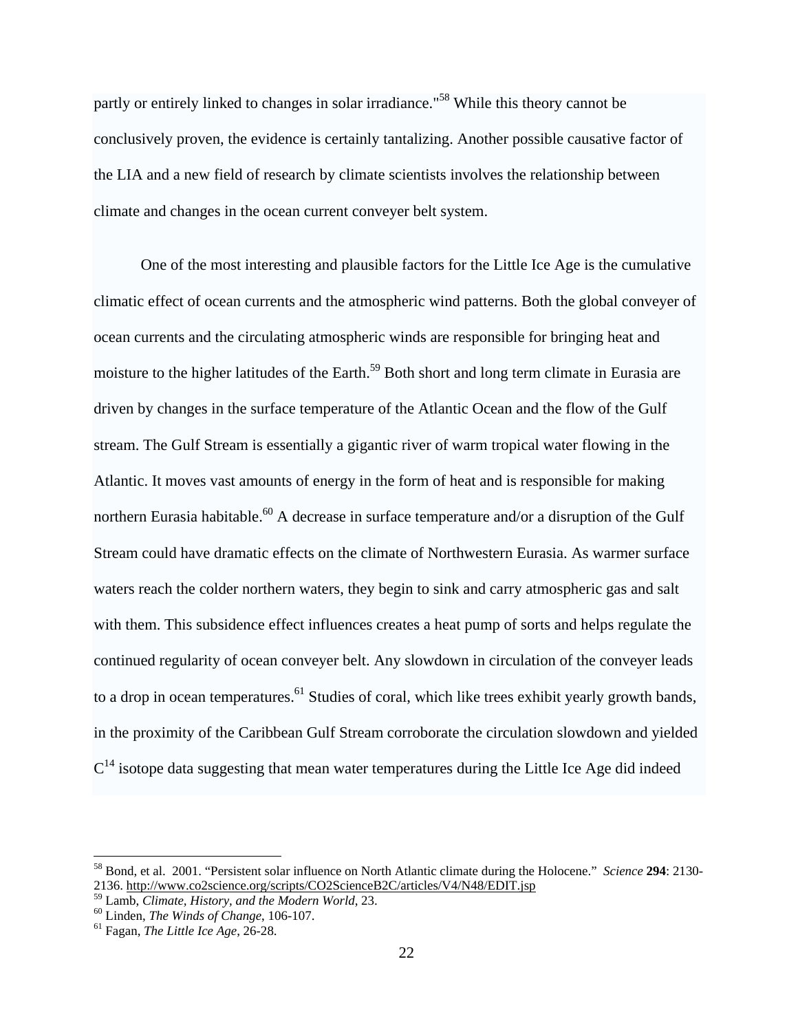partly or entirely linked to changes in solar irradiance."58 While this theory cannot be conclusively proven, the evidence is certainly tantalizing. Another possible causative factor of the LIA and a new field of research by climate scientists involves the relationship between climate and changes in the ocean current conveyer belt system.

One of the most interesting and plausible factors for the Little Ice Age is the cumulative climatic effect of ocean currents and the atmospheric wind patterns. Both the global conveyer of ocean currents and the circulating atmospheric winds are responsible for bringing heat and moisture to the higher latitudes of the Earth.<sup>59</sup> Both short and long term climate in Eurasia are driven by changes in the surface temperature of the Atlantic Ocean and the flow of the Gulf stream. The Gulf Stream is essentially a gigantic river of warm tropical water flowing in the Atlantic. It moves vast amounts of energy in the form of heat and is responsible for making northern Eurasia habitable.<sup>60</sup> A decrease in surface temperature and/or a disruption of the Gulf Stream could have dramatic effects on the climate of Northwestern Eurasia. As warmer surface waters reach the colder northern waters, they begin to sink and carry atmospheric gas and salt with them. This subsidence effect influences creates a heat pump of sorts and helps regulate the continued regularity of ocean conveyer belt. Any slowdown in circulation of the conveyer leads to a drop in ocean temperatures.<sup>61</sup> Studies of coral, which like trees exhibit yearly growth bands, in the proximity of the Caribbean Gulf Stream corroborate the circulation slowdown and yielded  $C<sup>14</sup>$  isotope data suggesting that mean water temperatures during the Little Ice Age did indeed

1

<sup>58</sup> Bond, et al. 2001. "Persistent solar influence on North Atlantic climate during the Holocene." *Science* **294**: 2130- 2136. http://www.co2science.org/scripts/CO2ScienceB2C/articles/V4/N48/EDIT.jsp

<sup>&</sup>lt;sup>59</sup> Lamb, *Climate, History, and the Modern World*, 23.<br><sup>60</sup> Linden, *The Winds of Change*, 106-107.<br><sup>61</sup> Fagan, *The Little Ice Age*, 26-28.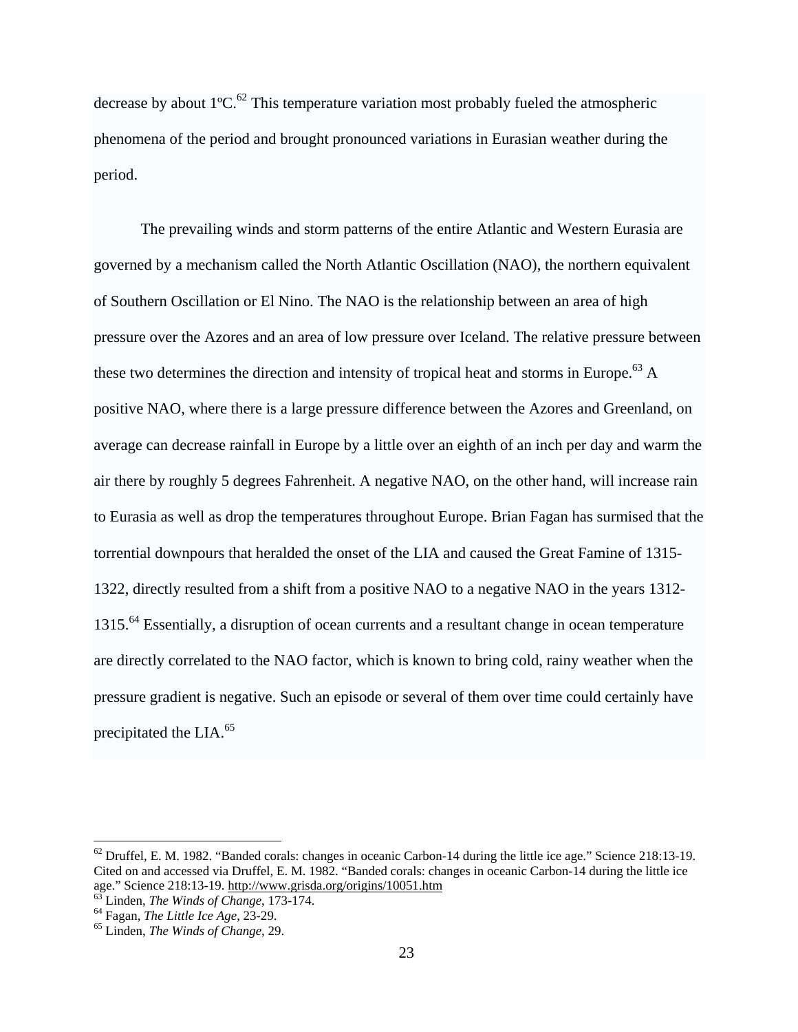decrease by about  $1^{\circ}C^{62}$ . This temperature variation most probably fueled the atmospheric phenomena of the period and brought pronounced variations in Eurasian weather during the period.

The prevailing winds and storm patterns of the entire Atlantic and Western Eurasia are governed by a mechanism called the North Atlantic Oscillation (NAO), the northern equivalent of Southern Oscillation or El Nino. The NAO is the relationship between an area of high pressure over the Azores and an area of low pressure over Iceland. The relative pressure between these two determines the direction and intensity of tropical heat and storms in Europe.<sup>63</sup> A positive NAO, where there is a large pressure difference between the Azores and Greenland, on average can decrease rainfall in Europe by a little over an eighth of an inch per day and warm the air there by roughly 5 degrees Fahrenheit. A negative NAO, on the other hand, will increase rain to Eurasia as well as drop the temperatures throughout Europe. Brian Fagan has surmised that the torrential downpours that heralded the onset of the LIA and caused the Great Famine of 1315- 1322, directly resulted from a shift from a positive NAO to a negative NAO in the years 1312- 1315.<sup>64</sup> Essentially, a disruption of ocean currents and a resultant change in ocean temperature are directly correlated to the NAO factor, which is known to bring cold, rainy weather when the pressure gradient is negative. Such an episode or several of them over time could certainly have precipitated the LIA.<sup>65</sup>

 $62$  Druffel, E. M. 1982. "Banded corals: changes in oceanic Carbon-14 during the little ice age." Science 218:13-19. Cited on and accessed via Druffel, E. M. 1982. "Banded corals: changes in oceanic Carbon-14 during the little ice age." Science 218:13-19. <u>http://www.grisda.org/origins/10051.htm</u> <sup>63</sup> Linden, *The Winds of Change*, 173-174.<br><sup>64</sup> Fagan, *The Little Ice Age*, 23-29. <sup>65</sup> Linden, *The Winds of Change*, 29.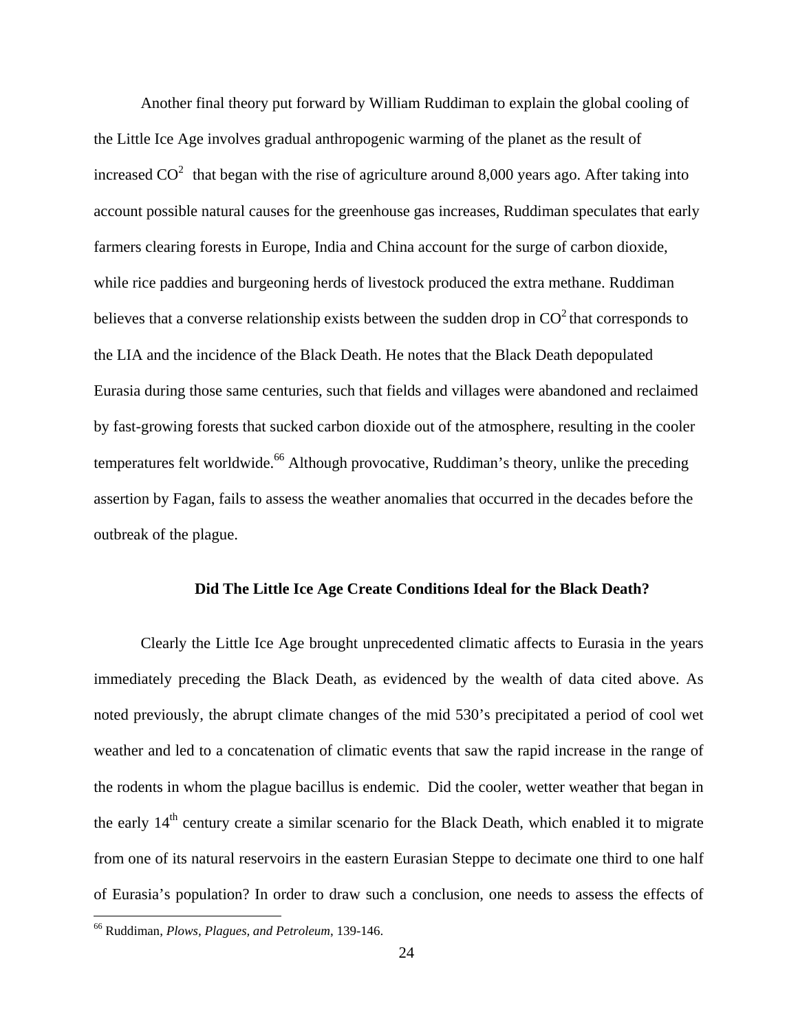Another final theory put forward by William Ruddiman to explain the global cooling of the Little Ice Age involves gradual anthropogenic warming of the planet as the result of increased  $CO<sup>2</sup>$  that began with the rise of agriculture around 8,000 years ago. After taking into account possible natural causes for the greenhouse gas increases, Ruddiman speculates that early farmers clearing forests in Europe, India and China account for the surge of carbon dioxide, while rice paddies and burgeoning herds of livestock produced the extra methane. Ruddiman believes that a converse relationship exists between the sudden drop in  $CO<sup>2</sup>$  that corresponds to the LIA and the incidence of the Black Death. He notes that the Black Death depopulated Eurasia during those same centuries, such that fields and villages were abandoned and reclaimed by fast-growing forests that sucked carbon dioxide out of the atmosphere, resulting in the cooler temperatures felt worldwide.<sup>66</sup> Although provocative, Ruddiman's theory, unlike the preceding assertion by Fagan, fails to assess the weather anomalies that occurred in the decades before the outbreak of the plague.

## **Did The Little Ice Age Create Conditions Ideal for the Black Death?**

Clearly the Little Ice Age brought unprecedented climatic affects to Eurasia in the years immediately preceding the Black Death, as evidenced by the wealth of data cited above. As noted previously, the abrupt climate changes of the mid 530's precipitated a period of cool wet weather and led to a concatenation of climatic events that saw the rapid increase in the range of the rodents in whom the plague bacillus is endemic. Did the cooler, wetter weather that began in the early 14<sup>th</sup> century create a similar scenario for the Black Death, which enabled it to migrate from one of its natural reservoirs in the eastern Eurasian Steppe to decimate one third to one half of Eurasia's population? In order to draw such a conclusion, one needs to assess the effects of

<u>.</u>

<sup>66</sup> Ruddiman, *Plows, Plagues, and Petroleum*, 139-146.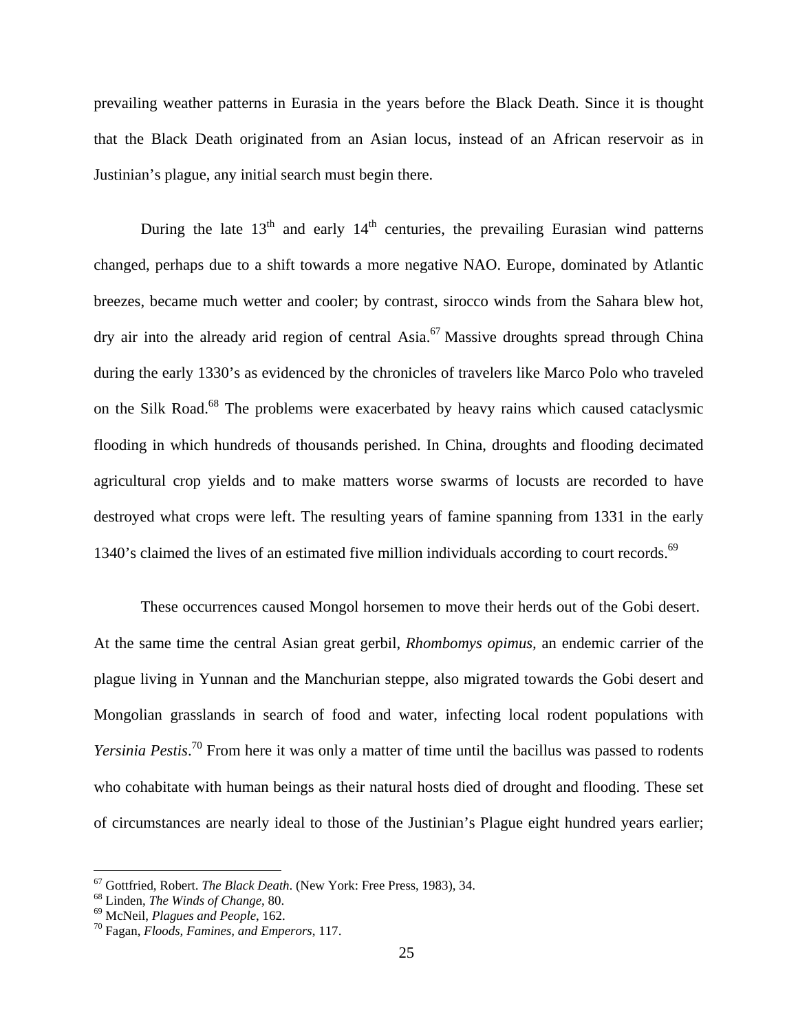prevailing weather patterns in Eurasia in the years before the Black Death. Since it is thought that the Black Death originated from an Asian locus, instead of an African reservoir as in Justinian's plague, any initial search must begin there.

During the late  $13<sup>th</sup>$  and early  $14<sup>th</sup>$  centuries, the prevailing Eurasian wind patterns changed, perhaps due to a shift towards a more negative NAO. Europe, dominated by Atlantic breezes, became much wetter and cooler; by contrast, sirocco winds from the Sahara blew hot, dry air into the already arid region of central Asia.<sup>67</sup> Massive droughts spread through China during the early 1330's as evidenced by the chronicles of travelers like Marco Polo who traveled on the Silk Road.<sup>68</sup> The problems were exacerbated by heavy rains which caused cataclysmic flooding in which hundreds of thousands perished. In China, droughts and flooding decimated agricultural crop yields and to make matters worse swarms of locusts are recorded to have destroyed what crops were left. The resulting years of famine spanning from 1331 in the early 1340's claimed the lives of an estimated five million individuals according to court records.<sup>69</sup>

These occurrences caused Mongol horsemen to move their herds out of the Gobi desert. At the same time the central Asian great gerbil, *Rhombomys opimus,* an endemic carrier of the plague living in Yunnan and the Manchurian steppe, also migrated towards the Gobi desert and Mongolian grasslands in search of food and water, infecting local rodent populations with *Yersinia Pestis*. 70 From here it was only a matter of time until the bacillus was passed to rodents who cohabitate with human beings as their natural hosts died of drought and flooding. These set of circumstances are nearly ideal to those of the Justinian's Plague eight hundred years earlier;

<sup>67</sup> Gottfried, Robert. *The Black Death*. (New York: Free Press, 1983), 34. 68 Linden, *The Winds of Change*, 80. 69 McNeil, *Plagues and People*, 162. 70 Fagan, *Floods, Famines, and Emperors*, 117.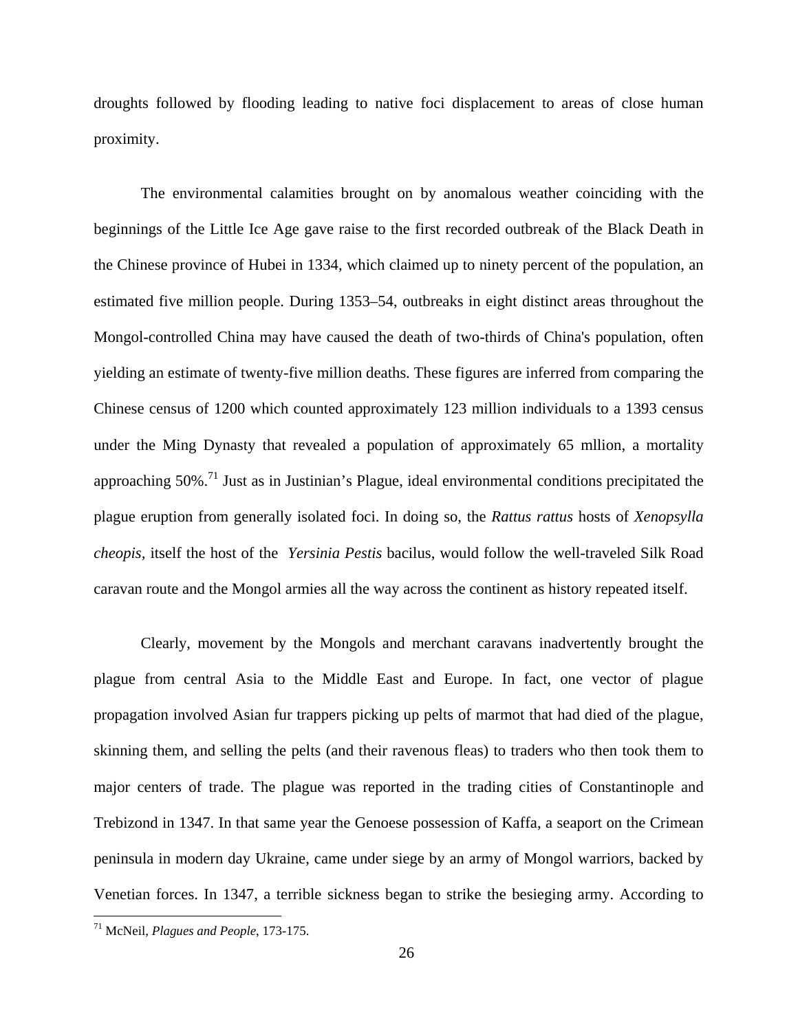droughts followed by flooding leading to native foci displacement to areas of close human proximity.

The environmental calamities brought on by anomalous weather coinciding with the beginnings of the Little Ice Age gave raise to the first recorded outbreak of the Black Death in the Chinese province of Hubei in 1334, which claimed up to ninety percent of the population, an estimated five million people. During 1353–54, outbreaks in eight distinct areas throughout the Mongol-controlled China may have caused the death of two-thirds of China's population, often yielding an estimate of twenty-five million deaths. These figures are inferred from comparing the Chinese census of 1200 which counted approximately 123 million individuals to a 1393 census under the Ming Dynasty that revealed a population of approximately 65 mllion, a mortality approaching  $50\%$ <sup> $,71$ </sup> Just as in Justinian's Plague, ideal environmental conditions precipitated the plague eruption from generally isolated foci. In doing so, the *Rattus rattus* hosts of *Xenopsylla cheopis,* itself the host of the *Yersinia Pestis* bacilus, would follow the well-traveled Silk Road caravan route and the Mongol armies all the way across the continent as history repeated itself.

 Clearly, movement by the Mongols and merchant caravans inadvertently brought the plague from central Asia to the Middle East and Europe. In fact, one vector of plague propagation involved Asian fur trappers picking up pelts of marmot that had died of the plague, skinning them, and selling the pelts (and their ravenous fleas) to traders who then took them to major centers of trade. The plague was reported in the trading cities of Constantinople and Trebizond in 1347. In that same year the Genoese possession of Kaffa, a seaport on the Crimean peninsula in modern day Ukraine, came under siege by an army of Mongol warriors, backed by Venetian forces. In 1347, a terrible sickness began to strike the besieging army. According to

<sup>71</sup> McNeil, *Plagues and People*, 173-175.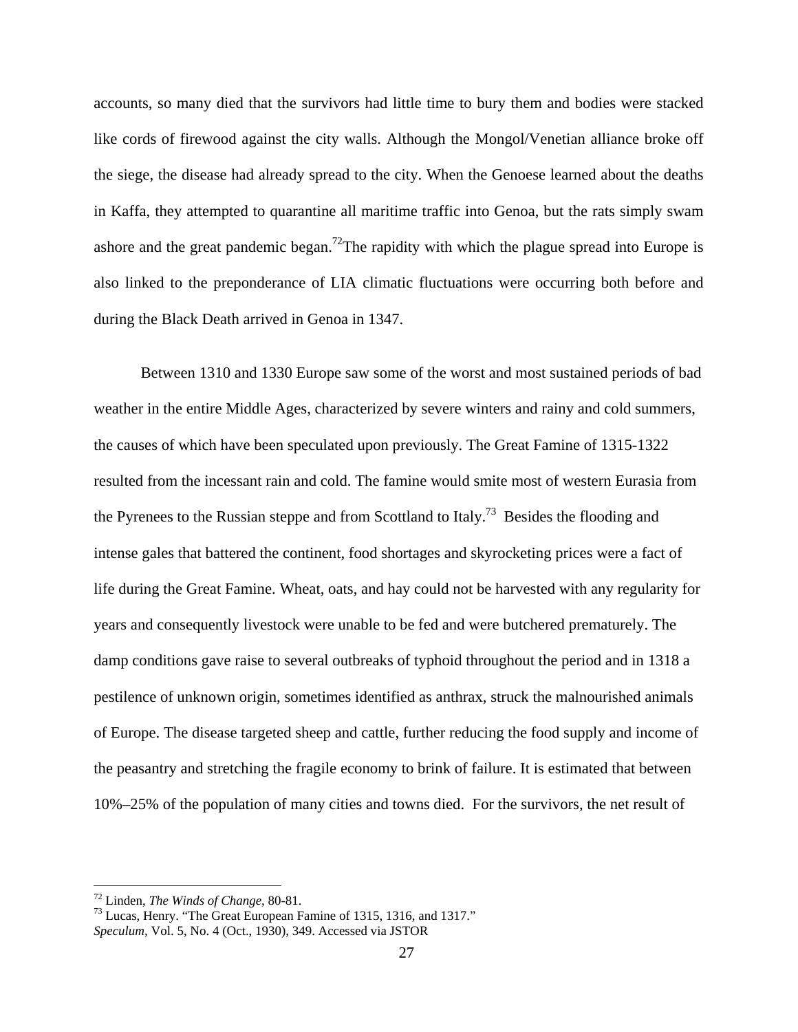accounts, so many died that the survivors had little time to bury them and bodies were stacked like cords of firewood against the city walls. Although the Mongol/Venetian alliance broke off the siege, the disease had already spread to the city. When the Genoese learned about the deaths in Kaffa, they attempted to quarantine all maritime traffic into Genoa, but the rats simply swam ashore and the great pandemic began.<sup>72</sup>The rapidity with which the plague spread into Europe is also linked to the preponderance of LIA climatic fluctuations were occurring both before and during the Black Death arrived in Genoa in 1347.

 Between 1310 and 1330 Europe saw some of the worst and most sustained periods of bad weather in the entire Middle Ages, characterized by severe winters and rainy and cold summers, the causes of which have been speculated upon previously. The Great Famine of 1315-1322 resulted from the incessant rain and cold. The famine would smite most of western Eurasia from the Pyrenees to the Russian steppe and from Scottland to Italy.<sup>73</sup> Besides the flooding and intense gales that battered the continent, food shortages and skyrocketing prices were a fact of life during the Great Famine. Wheat, oats, and hay could not be harvested with any regularity for years and consequently livestock were unable to be fed and were butchered prematurely. The damp conditions gave raise to several outbreaks of typhoid throughout the period and in 1318 a pestilence of unknown origin, sometimes identified as anthrax, struck the malnourished animals of Europe. The disease targeted sheep and cattle, further reducing the food supply and income of the peasantry and stretching the fragile economy to brink of failure. It is estimated that between 10%–25% of the population of many cities and towns died. For the survivors, the net result of

<sup>72</sup> Linden, *The Winds of Change*, 80-81. 73 Lucas, Henry. "The Great European Famine of 1315, 1316, and 1317." *Speculum*, Vol. 5, No. 4 (Oct., 1930), 349. Accessed via JSTOR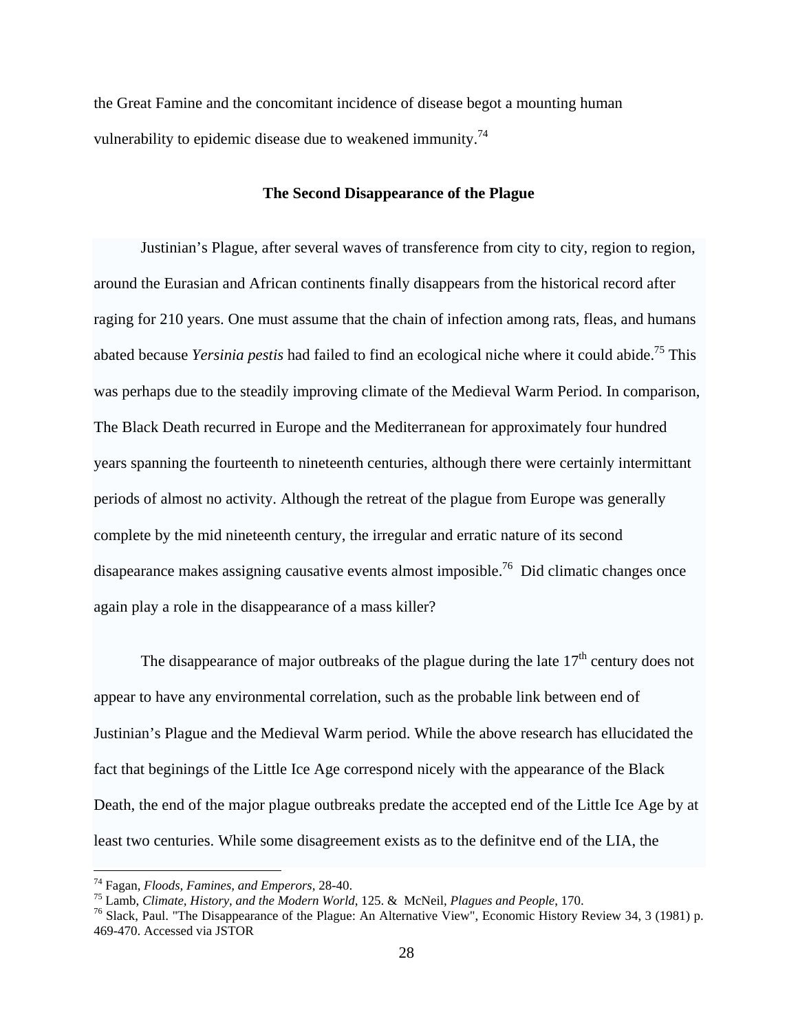the Great Famine and the concomitant incidence of disease begot a mounting human vulnerability to epidemic disease due to weakened immunity.<sup>74</sup>

## **The Second Disappearance of the Plague**

 Justinian's Plague, after several waves of transference from city to city, region to region, around the Eurasian and African continents finally disappears from the historical record after raging for 210 years. One must assume that the chain of infection among rats, fleas, and humans abated because *Yersinia pestis* had failed to find an ecological niche where it could abide.75 This was perhaps due to the steadily improving climate of the Medieval Warm Period. In comparison, The Black Death recurred in Europe and the Mediterranean for approximately four hundred years spanning the fourteenth to nineteenth centuries, although there were certainly intermittant periods of almost no activity. Although the retreat of the plague from Europe was generally complete by the mid nineteenth century, the irregular and erratic nature of its second disapearance makes assigning causative events almost imposible.<sup>76</sup> Did climatic changes once again play a role in the disappearance of a mass killer?

The disappearance of major outbreaks of the plague during the late  $17<sup>th</sup>$  century does not appear to have any environmental correlation, such as the probable link between end of Justinian's Plague and the Medieval Warm period. While the above research has ellucidated the fact that beginings of the Little Ice Age correspond nicely with the appearance of the Black Death, the end of the major plague outbreaks predate the accepted end of the Little Ice Age by at least two centuries. While some disagreement exists as to the definitve end of the LIA, the

<sup>&</sup>lt;sup>74</sup> Fagan, *Floods*, *Famines*, and *Emperors*, 28-40.

<sup>&</sup>lt;sup>75</sup> Lamb, *Climate, History, and the Modern World*, 125. & McNeil, *Plagues and People*, 170.<br><sup>76</sup> Slack, Paul. "The Disappearance of the Plague: An Alternative View", Economic History Review 34, 3 (1981) p. 469-470. Accessed via JSTOR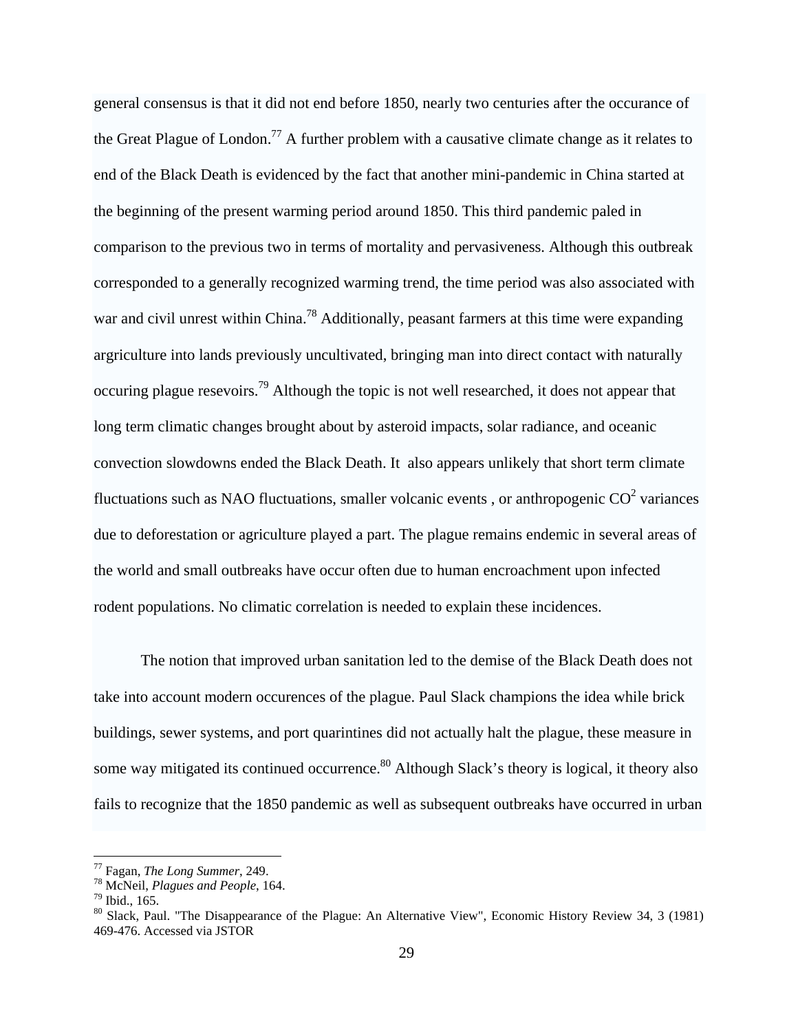general consensus is that it did not end before 1850, nearly two centuries after the occurance of the Great Plague of London.<sup>77</sup> A further problem with a causative climate change as it relates to end of the Black Death is evidenced by the fact that another mini-pandemic in China started at the beginning of the present warming period around 1850. This third pandemic paled in comparison to the previous two in terms of mortality and pervasiveness. Although this outbreak corresponded to a generally recognized warming trend, the time period was also associated with war and civil unrest within China.<sup>78</sup> Additionally, peasant farmers at this time were expanding argriculture into lands previously uncultivated, bringing man into direct contact with naturally occuring plague resevoirs.79 Although the topic is not well researched, it does not appear that long term climatic changes brought about by asteroid impacts, solar radiance, and oceanic convection slowdowns ended the Black Death. It also appears unlikely that short term climate fluctuations such as NAO fluctuations, smaller volcanic events, or anthropogenic  $CO^2$  variances due to deforestation or agriculture played a part. The plague remains endemic in several areas of the world and small outbreaks have occur often due to human encroachment upon infected rodent populations. No climatic correlation is needed to explain these incidences.

 The notion that improved urban sanitation led to the demise of the Black Death does not take into account modern occurences of the plague. Paul Slack champions the idea while brick buildings, sewer systems, and port quarintines did not actually halt the plague, these measure in some way mitigated its continued occurrence.<sup>80</sup> Although Slack's theory is logical, it theory also fails to recognize that the 1850 pandemic as well as subsequent outbreaks have occurred in urban

<sup>77</sup> Fagan, *The Long Summer*, 249. 78 McNeil, *Plagues and People*, 164. 79 Ibid., 165.

<sup>&</sup>lt;sup>80</sup> Slack, Paul. "The Disappearance of the Plague: An Alternative View", Economic History Review 34, 3 (1981) 469-476. Accessed via JSTOR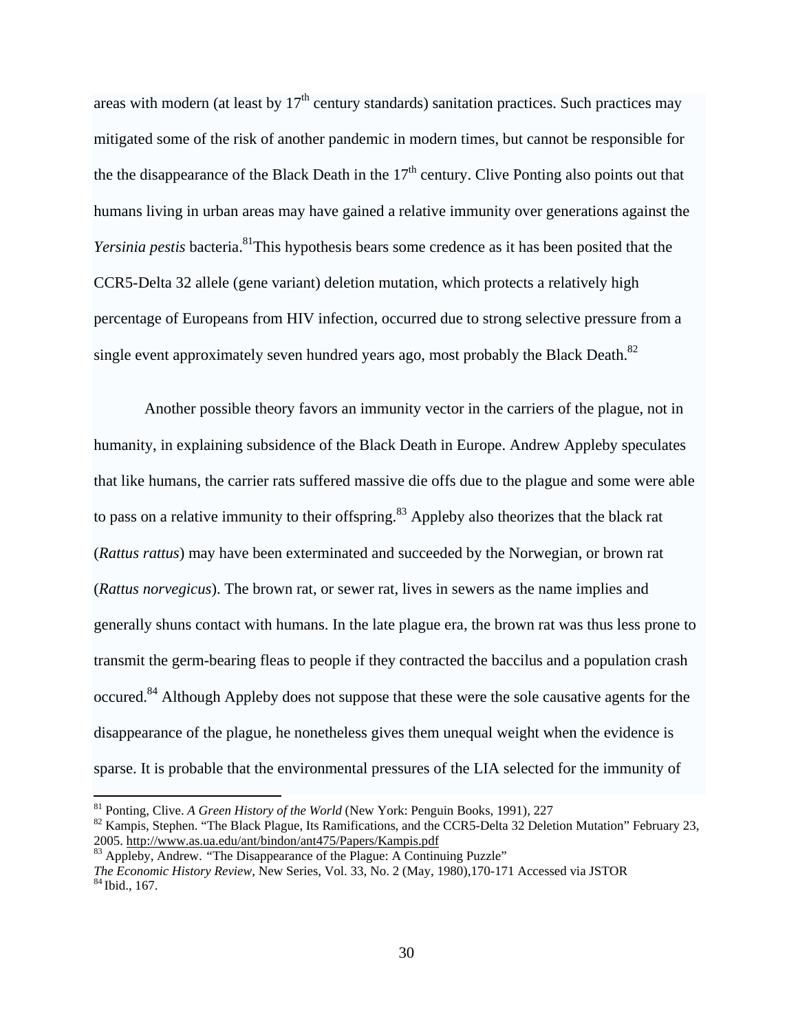areas with modern (at least by  $17<sup>th</sup>$  century standards) sanitation practices. Such practices may mitigated some of the risk of another pandemic in modern times, but cannot be responsible for the the disappearance of the Black Death in the  $17<sup>th</sup>$  century. Clive Ponting also points out that humans living in urban areas may have gained a relative immunity over generations against the *Yersinia pestis* bacteria.<sup>81</sup>This hypothesis bears some credence as it has been posited that the CCR5-Delta 32 allele (gene variant) deletion mutation, which protects a relatively high percentage of Europeans from HIV infection, occurred due to strong selective pressure from a single event approximately seven hundred years ago, most probably the Black Death.<sup>82</sup>

 Another possible theory favors an immunity vector in the carriers of the plague, not in humanity, in explaining subsidence of the Black Death in Europe. Andrew Appleby speculates that like humans, the carrier rats suffered massive die offs due to the plague and some were able to pass on a relative immunity to their offspring.<sup>83</sup> Appleby also theorizes that the black rat (*Rattus rattus*) may have been exterminated and succeeded by the Norwegian, or brown rat (*Rattus norvegicus*). The brown rat, or sewer rat, lives in sewers as the name implies and generally shuns contact with humans. In the late plague era, the brown rat was thus less prone to transmit the germ-bearing fleas to people if they contracted the baccilus and a population crash occured.84 Although Appleby does not suppose that these were the sole causative agents for the disappearance of the plague, he nonetheless gives them unequal weight when the evidence is sparse. It is probable that the environmental pressures of the LIA selected for the immunity of

<sup>&</sup>lt;sup>81</sup> Ponting, Clive. *A Green History of the World* (New York: Penguin Books, 1991), 227<br><sup>82</sup> Kampis, Stephen. "The Black Plague, Its Ramifications, and the CCR5-Delta 32 Deletion Mutation" February 23,<br>2005. http://www.as

<sup>&</sup>lt;sup>83</sup> Appleby, Andrew. "The Disappearance of the Plague: A Continuing Puzzle" *The Economic History Review*, New Series, Vol. 33, No. 2 (May, 1980),170-171 Accessed via JSTOR <sup>84</sup> Ibid., 167.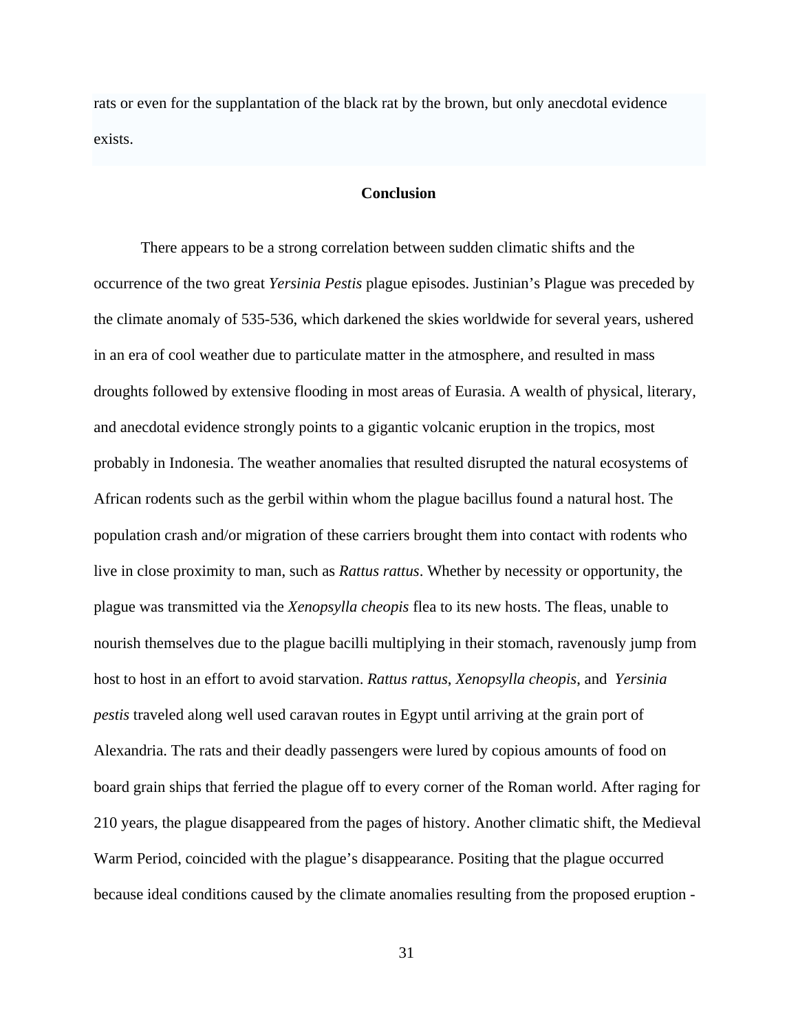rats or even for the supplantation of the black rat by the brown, but only anecdotal evidence exists.

# **Conclusion**

 There appears to be a strong correlation between sudden climatic shifts and the occurrence of the two great *Yersinia Pestis* plague episodes. Justinian's Plague was preceded by the climate anomaly of 535-536, which darkened the skies worldwide for several years, ushered in an era of cool weather due to particulate matter in the atmosphere, and resulted in mass droughts followed by extensive flooding in most areas of Eurasia. A wealth of physical, literary, and anecdotal evidence strongly points to a gigantic volcanic eruption in the tropics, most probably in Indonesia. The weather anomalies that resulted disrupted the natural ecosystems of African rodents such as the gerbil within whom the plague bacillus found a natural host. The population crash and/or migration of these carriers brought them into contact with rodents who live in close proximity to man, such as *Rattus rattus*. Whether by necessity or opportunity, the plague was transmitted via the *Xenopsylla cheopis* flea to its new hosts. The fleas, unable to nourish themselves due to the plague bacilli multiplying in their stomach, ravenously jump from host to host in an effort to avoid starvation. *Rattus rattus*, *Xenopsylla cheopis*, and *Yersinia pestis* traveled along well used caravan routes in Egypt until arriving at the grain port of Alexandria. The rats and their deadly passengers were lured by copious amounts of food on board grain ships that ferried the plague off to every corner of the Roman world. After raging for 210 years, the plague disappeared from the pages of history. Another climatic shift, the Medieval Warm Period, coincided with the plague's disappearance. Positing that the plague occurred because ideal conditions caused by the climate anomalies resulting from the proposed eruption -

31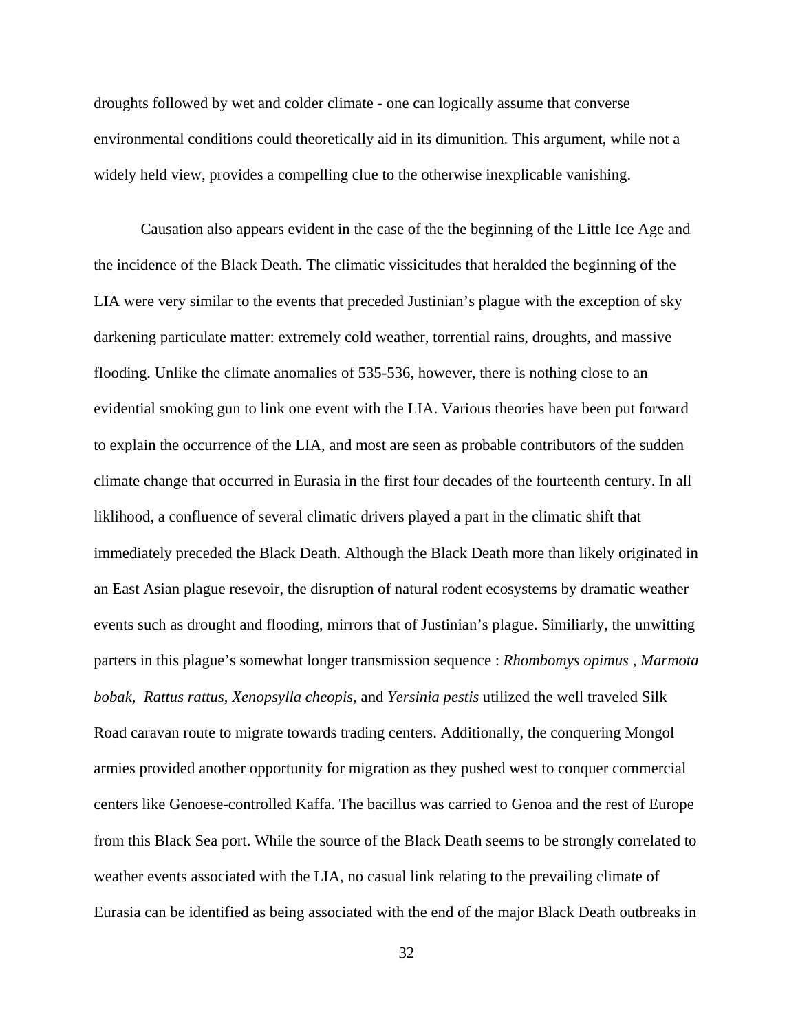droughts followed by wet and colder climate - one can logically assume that converse environmental conditions could theoretically aid in its dimunition. This argument, while not a widely held view, provides a compelling clue to the otherwise inexplicable vanishing.

 Causation also appears evident in the case of the the beginning of the Little Ice Age and the incidence of the Black Death. The climatic vissicitudes that heralded the beginning of the LIA were very similar to the events that preceded Justinian's plague with the exception of sky darkening particulate matter: extremely cold weather, torrential rains, droughts, and massive flooding. Unlike the climate anomalies of 535-536, however, there is nothing close to an evidential smoking gun to link one event with the LIA. Various theories have been put forward to explain the occurrence of the LIA, and most are seen as probable contributors of the sudden climate change that occurred in Eurasia in the first four decades of the fourteenth century. In all liklihood, a confluence of several climatic drivers played a part in the climatic shift that immediately preceded the Black Death. Although the Black Death more than likely originated in an East Asian plague resevoir, the disruption of natural rodent ecosystems by dramatic weather events such as drought and flooding, mirrors that of Justinian's plague. Similiarly, the unwitting parters in this plague's somewhat longer transmission sequence : *Rhombomys opimus* , *Marmota bobak, Rattus rattus*, *Xenopsylla cheopis,* and *Yersinia pestis* utilized the well traveled Silk Road caravan route to migrate towards trading centers. Additionally, the conquering Mongol armies provided another opportunity for migration as they pushed west to conquer commercial centers like Genoese-controlled Kaffa. The bacillus was carried to Genoa and the rest of Europe from this Black Sea port. While the source of the Black Death seems to be strongly correlated to weather events associated with the LIA, no casual link relating to the prevailing climate of Eurasia can be identified as being associated with the end of the major Black Death outbreaks in

32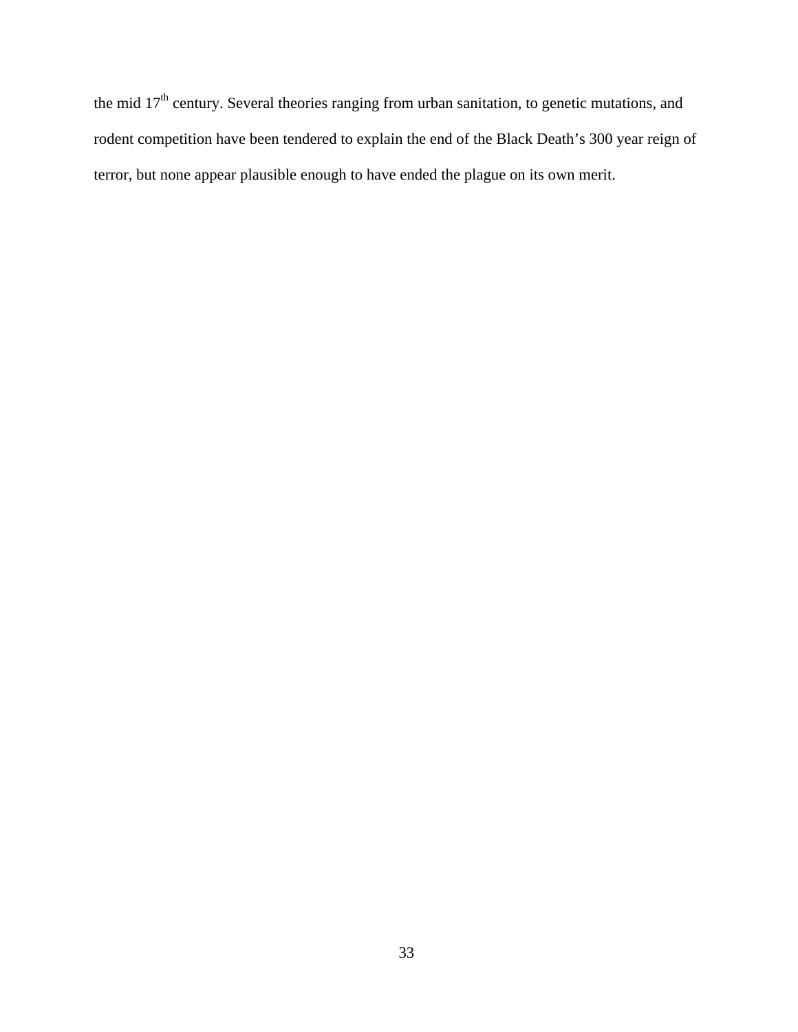the mid 17<sup>th</sup> century. Several theories ranging from urban sanitation, to genetic mutations, and rodent competition have been tendered to explain the end of the Black Death's 300 year reign of terror, but none appear plausible enough to have ended the plague on its own merit.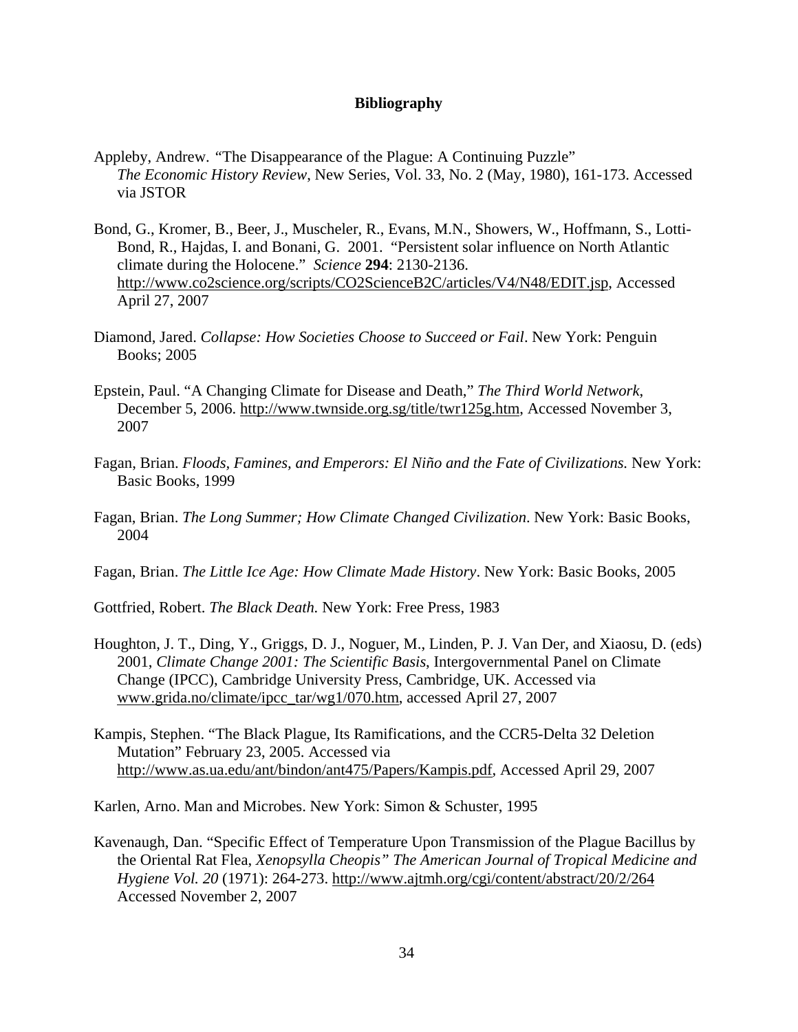# **Bibliography**

- Appleby, Andrew. *"*The Disappearance of the Plague: A Continuing Puzzle"  *The Economic History Review*, New Series, Vol. 33, No. 2 (May, 1980), 161-173. Accessed via JSTOR
- Bond, G., Kromer, B., Beer, J., Muscheler, R., Evans, M.N., Showers, W., Hoffmann, S., Lotti-Bond, R., Hajdas, I. and Bonani, G. 2001. "Persistent solar influence on North Atlantic climate during the Holocene." *Science* **294**: 2130-2136. http://www.co2science.org/scripts/CO2ScienceB2C/articles/V4/N48/EDIT.jsp, Accessed April 27, 2007
- Diamond, Jared. *Collapse: How Societies Choose to Succeed or Fail*. New York: Penguin Books; 2005
- Epstein, Paul. "A Changing Climate for Disease and Death," *The Third World Network*, December 5, 2006. http://www.twnside.org.sg/title/twr125g.htm, Accessed November 3, 2007
- Fagan, Brian. *Floods, Famines, and Emperors: El Niño and the Fate of Civilizations.* New York: Basic Books, 1999
- Fagan, Brian. *The Long Summer; How Climate Changed Civilization*. New York: Basic Books, 2004
- Fagan, Brian. *The Little Ice Age: How Climate Made History*. New York: Basic Books, 2005
- Gottfried, Robert. *The Black Death.* New York: Free Press, 1983
- Houghton, J. T., Ding, Y., Griggs, D. J., Noguer, M., Linden, P. J. Van Der, and Xiaosu, D. (eds) 2001, *Climate Change 2001: The Scientific Basis*, Intergovernmental Panel on Climate Change (IPCC), Cambridge University Press, Cambridge, UK. Accessed via www.grida.no/climate/ipcc\_tar/wg1/070.htm, accessed April 27, 2007
- Kampis, Stephen. "The Black Plague, Its Ramifications, and the CCR5-Delta 32 Deletion Mutation" February 23, 2005. Accessed via http://www.as.ua.edu/ant/bindon/ant475/Papers/Kampis.pdf, Accessed April 29, 2007

Karlen, Arno. Man and Microbes. New York: Simon & Schuster, 1995

Kavenaugh, Dan. "Specific Effect of Temperature Upon Transmission of the Plague Bacillus by the Oriental Rat Flea, *Xenopsylla Cheopis" The American Journal of Tropical Medicine and Hygiene Vol. 20* (1971): 264-273. http://www.ajtmh.org/cgi/content/abstract/20/2/264 Accessed November 2, 2007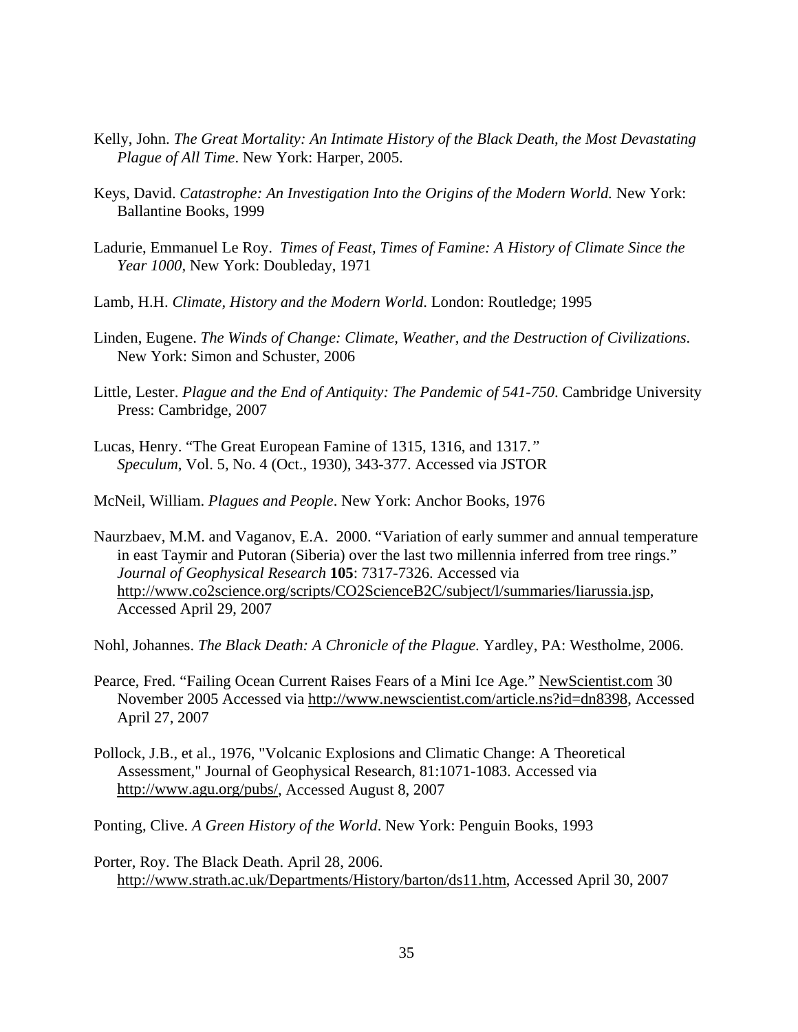- Kelly, John. *The Great Mortality: An Intimate History of the Black Death, the Most Devastating Plague of All Time*. New York: Harper, 2005.
- Keys, David. *Catastrophe: An Investigation Into the Origins of the Modern World.* New York: Ballantine Books, 1999
- Ladurie, Emmanuel Le Roy. *Times of Feast, Times of Famine: A History of Climate Since the Year 1000*, New York: Doubleday, 1971
- Lamb, H.H. *Climate, History and the Modern World*. London: Routledge; 1995
- Linden, Eugene. *The Winds of Change: Climate, Weather, and the Destruction of Civilizations*. New York: Simon and Schuster, 2006
- Little, Lester. *Plague and the End of Antiquity: The Pandemic of 541-750*. Cambridge University Press: Cambridge, 2007
- Lucas, Henry. "The Great European Famine of 1315, 1316, and 1317.*" Speculum*, Vol. 5, No. 4 (Oct., 1930), 343-377. Accessed via JSTOR
- McNeil, William. *Plagues and People*. New York: Anchor Books, 1976
- Naurzbaev, M.M. and Vaganov, E.A. 2000. "Variation of early summer and annual temperature in east Taymir and Putoran (Siberia) over the last two millennia inferred from tree rings." *Journal of Geophysical Research* **105**: 7317-7326. Accessed via http://www.co2science.org/scripts/CO2ScienceB2C/subject/l/summaries/liarussia.jsp, Accessed April 29, 2007

Nohl, Johannes. *The Black Death: A Chronicle of the Plague*. Yardley, PA: Westholme, 2006.

- Pearce, Fred. "Failing Ocean Current Raises Fears of a Mini Ice Age." NewScientist.com 30 November 2005 Accessed via http://www.newscientist.com/article.ns?id=dn8398, Accessed April 27, 2007
- Pollock, J.B., et al., 1976, "Volcanic Explosions and Climatic Change: A Theoretical Assessment," Journal of Geophysical Research, 81:1071-1083. Accessed via http://www.agu.org/pubs/, Accessed August 8, 2007

Ponting, Clive. *A Green History of the World*. New York: Penguin Books, 1993

Porter, Roy. The Black Death. April 28, 2006. http://www.strath.ac.uk/Departments/History/barton/ds11.htm, Accessed April 30, 2007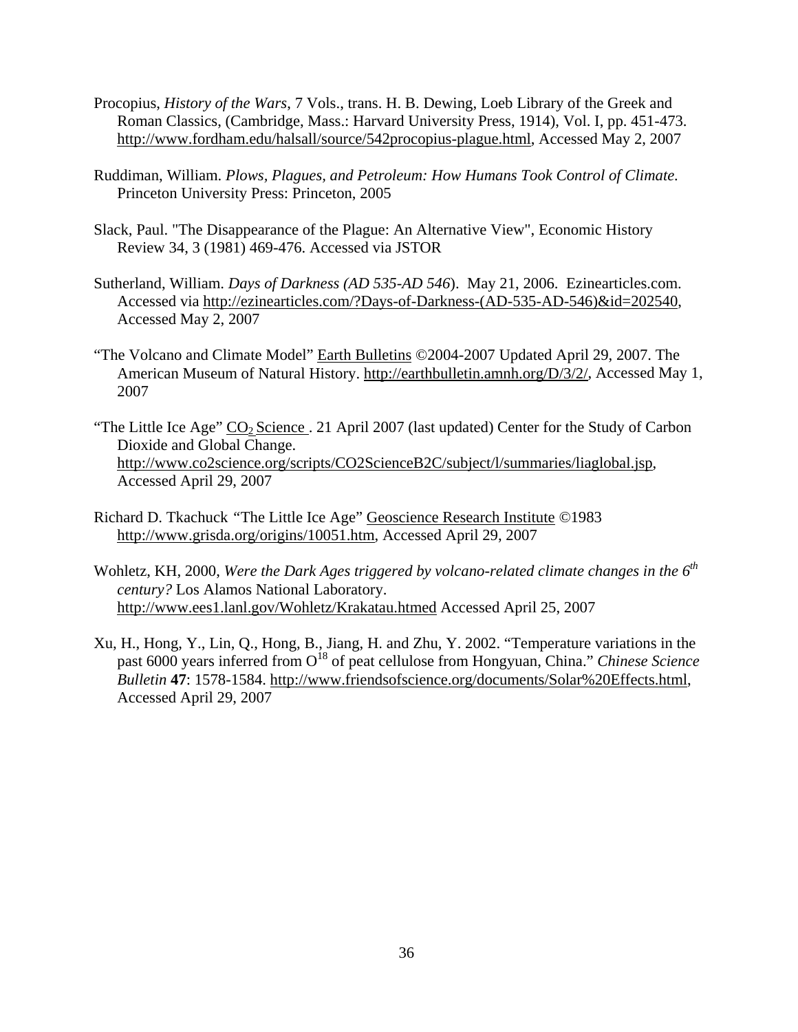- Procopius, *History of the Wars*, 7 Vols., trans. H. B. Dewing, Loeb Library of the Greek and Roman Classics, (Cambridge, Mass.: Harvard University Press, 1914), Vol. I, pp. 451-473. http://www.fordham.edu/halsall/source/542procopius-plague.html, Accessed May 2, 2007
- Ruddiman, William. *Plows, Plagues, and Petroleum: How Humans Took Control of Climate.* Princeton University Press: Princeton, 2005
- Slack, Paul. "The Disappearance of the Plague: An Alternative View", Economic History Review 34, 3 (1981) 469-476. Accessed via JSTOR
- Sutherland, William. *Days of Darkness (AD 535-AD 546*). May 21, 2006. Ezinearticles.com. Accessed via http://ezinearticles.com/?Days-of-Darkness-(AD-535-AD-546)&id=202540, Accessed May 2, 2007
- "The Volcano and Climate Model" Earth Bulletins ©2004-2007 Updated April 29, 2007. The American Museum of Natural History. http://earthbulletin.amnh.org/D/3/2/, Accessed May 1, 2007
- "The Little Ice Age"  $CO_2$  Science . 21 April 2007 (last updated) Center for the Study of Carbon Dioxide and Global Change. http://www.co2science.org/scripts/CO2ScienceB2C/subject/l/summaries/liaglobal.jsp, Accessed April 29, 2007
- Richard D. Tkachuck *"*The Little Ice Age" Geoscience Research Institute *©*1983 http://www.grisda.org/origins/10051.htm, Accessed April 29, 2007
- Wohletz, KH, 2000, *Were the Dark Ages triggered by volcano-related climate changes in the 6th century?* Los Alamos National Laboratory. http://www.ees1.lanl.gov/Wohletz/Krakatau.htmed Accessed April 25, 2007
- Xu, H., Hong, Y., Lin, Q., Hong, B., Jiang, H. and Zhu, Y. 2002. "Temperature variations in the past 6000 years inferred from O<sup>18</sup> of peat cellulose from Hongyuan, China." *Chinese Science Bulletin* **47**: 1578-1584. http://www.friendsofscience.org/documents/Solar%20Effects.html, Accessed April 29, 2007